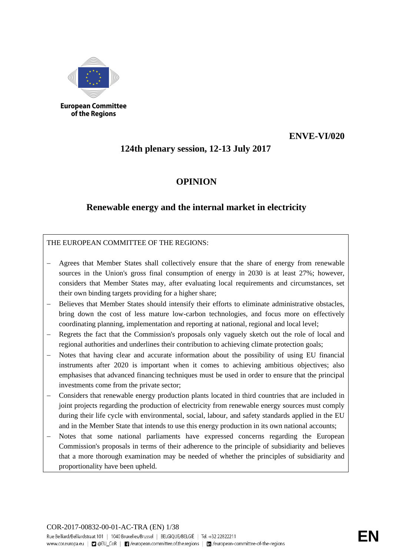

of the Regions

# **ENVE-VI/020**

# **124th plenary session, 12-13 July 2017**

# **OPINION**

# **Renewable energy and the internal market in electricity**

THE EUROPEAN COMMITTEE OF THE REGIONS:

- Agrees that Member States shall collectively ensure that the share of energy from renewable sources in the Union's gross final consumption of energy in 2030 is at least 27%; however, considers that Member States may, after evaluating local requirements and circumstances, set their own binding targets providing for a higher share;
- Believes that Member States should intensify their efforts to eliminate administrative obstacles, bring down the cost of less mature low-carbon technologies, and focus more on effectively coordinating planning, implementation and reporting at national, regional and local level;
- Regrets the fact that the Commission's proposals only vaguely sketch out the role of local and regional authorities and underlines their contribution to achieving climate protection goals;
- Notes that having clear and accurate information about the possibility of using EU financial instruments after 2020 is important when it comes to achieving ambitious objectives; also emphasises that advanced financing techniques must be used in order to ensure that the principal investments come from the private sector;
- − Considers that renewable energy production plants located in third countries that are included in joint projects regarding the production of electricity from renewable energy sources must comply during their life cycle with environmental, social, labour, and safety standards applied in the EU and in the Member State that intends to use this energy production in its own national accounts;
- Notes that some national parliaments have expressed concerns regarding the European Commission's proposals in terms of their adherence to the principle of subsidiarity and believes that a more thorough examination may be needed of whether the principles of subsidiarity and proportionality have been upheld.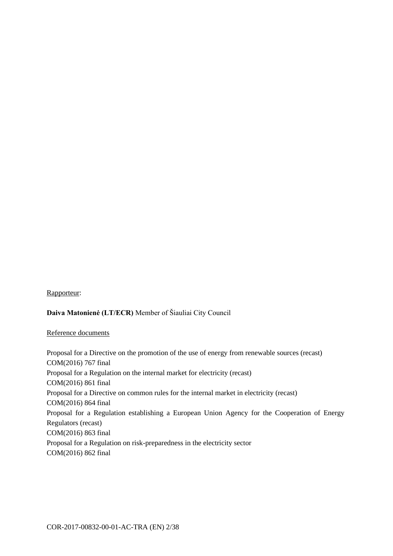#### Rapporteur:

## **Daiva Matonienė (LT/ECR)** Member of Šiauliai City Council

#### Reference documents

Proposal for a Directive on the promotion of the use of energy from renewable sources (recast) COM(2016) 767 final Proposal for a Regulation on the internal market for electricity (recast) COM(2016) 861 final Proposal for a Directive on common rules for the internal market in electricity (recast) COM(2016) 864 final Proposal for a Regulation establishing a European Union Agency for the Cooperation of Energy Regulators (recast) COM(2016) 863 final Proposal for a Regulation on risk-preparedness in the electricity sector COM(2016) 862 final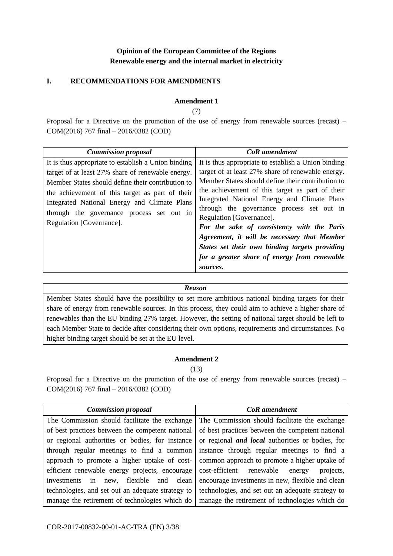# **Opinion of the European Committee of the Regions Renewable energy and the internal market in electricity**

# **I. RECOMMENDATIONS FOR AMENDMENTS**

### **Amendment 1**

(7)

Proposal for a Directive on the promotion of the use of energy from renewable sources (recast) – COM(2016) 767 final – 2016/0382 (COD)

| <b>Commission proposal</b>                                                                                                                                                                                                                                                                                                                | <b>CoR</b> amendment                                                                                                                                                                                                                                                                                                                                                                                                                                                                                                                                 |
|-------------------------------------------------------------------------------------------------------------------------------------------------------------------------------------------------------------------------------------------------------------------------------------------------------------------------------------------|------------------------------------------------------------------------------------------------------------------------------------------------------------------------------------------------------------------------------------------------------------------------------------------------------------------------------------------------------------------------------------------------------------------------------------------------------------------------------------------------------------------------------------------------------|
| It is thus appropriate to establish a Union binding<br>target of at least 27% share of renewable energy.<br>Member States should define their contribution to<br>the achievement of this target as part of their<br>Integrated National Energy and Climate Plans<br>through the governance process set out in<br>Regulation [Governance]. | It is thus appropriate to establish a Union binding<br>target of at least 27% share of renewable energy.<br>Member States should define their contribution to<br>the achievement of this target as part of their<br>Integrated National Energy and Climate Plans<br>through the governance process set out in<br>Regulation [Governance].<br>For the sake of consistency with the Paris<br>Agreement, it will be necessary that Member<br>States set their own binding targets providing<br>for a greater share of energy from renewable<br>sources. |

#### *Reason*

Member States should have the possibility to set more ambitious national binding targets for their share of energy from renewable sources. In this process, they could aim to achieve a higher share of renewables than the EU binding 27% target. However, the setting of national target should be left to each Member State to decide after considering their own options, requirements and circumstances. No higher binding target should be set at the EU level.

# **Amendment 2**

(13)

| <b>Commission proposal</b>                        | <b>CoR</b> amendment                                    |
|---------------------------------------------------|---------------------------------------------------------|
| The Commission should facilitate the exchange     | The Commission should facilitate the exchange           |
| of best practices between the competent national  | of best practices between the competent national        |
| or regional authorities or bodies, for instance   | or regional <i>and local</i> authorities or bodies, for |
| through regular meetings to find a common         | instance through regular meetings to find a             |
| approach to promote a higher uptake of cost-      | common approach to promote a higher uptake of           |
| efficient renewable energy projects, encourage    | cost-efficient renewable<br>projects,<br>energy         |
| investments in new, flexible and clean            | encourage investments in new, flexible and clean        |
| technologies, and set out an adequate strategy to | technologies, and set out an adequate strategy to       |
| manage the retirement of technologies which do    | manage the retirement of technologies which do          |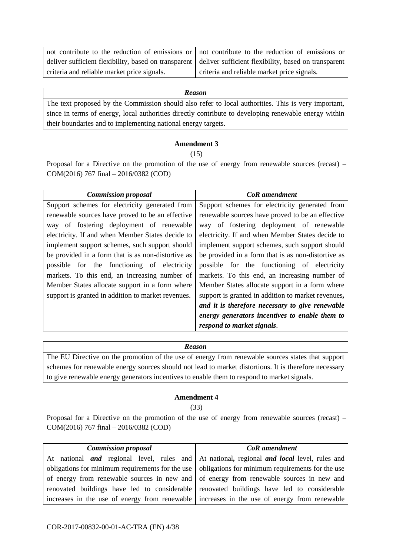| not contribute to the reduction of emissions or not contribute to the reduction of emissions or           |                                             |
|-----------------------------------------------------------------------------------------------------------|---------------------------------------------|
| deliver sufficient flexibility, based on transparent deliver sufficient flexibility, based on transparent |                                             |
| criteria and reliable market price signals.                                                               | criteria and reliable market price signals. |

The text proposed by the Commission should also refer to local authorities. This is very important, since in terms of energy, local authorities directly contribute to developing renewable energy within their boundaries and to implementing national energy targets.

#### **Amendment 3**

 $(15)$ 

Proposal for a Directive on the promotion of the use of energy from renewable sources (recast) – COM(2016) 767 final – 2016/0382 (COD)

| <b>Commission proposal</b>                         | <b>CoR</b> amendment                               |
|----------------------------------------------------|----------------------------------------------------|
| Support schemes for electricity generated from     | Support schemes for electricity generated from     |
| renewable sources have proved to be an effective   | renewable sources have proved to be an effective   |
| of fostering deployment of renewable<br>way        | of fostering deployment of renewable<br>way        |
| electricity. If and when Member States decide to   | electricity. If and when Member States decide to   |
| implement support schemes, such support should     | implement support schemes, such support should     |
| be provided in a form that is as non-distortive as | be provided in a form that is as non-distortive as |
| possible for the functioning of electricity        | possible for the functioning of electricity        |
| markets. To this end, an increasing number of      | markets. To this end, an increasing number of      |
| Member States allocate support in a form where     | Member States allocate support in a form where     |
| support is granted in addition to market revenues. | support is granted in addition to market revenues, |
|                                                    | and it is therefore necessary to give renewable    |
|                                                    | energy generators incentives to enable them to     |
|                                                    | respond to market signals.                         |

#### *Reason*

The EU Directive on the promotion of the use of energy from renewable sources states that support schemes for renewable energy sources should not lead to market distortions. It is therefore necessary to give renewable energy generators incentives to enable them to respond to market signals.

#### **Amendment 4**

(33)

| <b>Commission proposal</b>                                                                          | <b>CoR</b> amendment                                                                                     |
|-----------------------------------------------------------------------------------------------------|----------------------------------------------------------------------------------------------------------|
|                                                                                                     | At national <i>and</i> regional level, rules and At national, regional <i>and local</i> level, rules and |
| obligations for minimum requirements for the use   obligations for minimum requirements for the use |                                                                                                          |
|                                                                                                     | of energy from renewable sources in new and of energy from renewable sources in new and                  |
| renovated buildings have led to considerable renovated buildings have led to considerable           |                                                                                                          |
|                                                                                                     | increases in the use of energy from renewable increases in the use of energy from renewable              |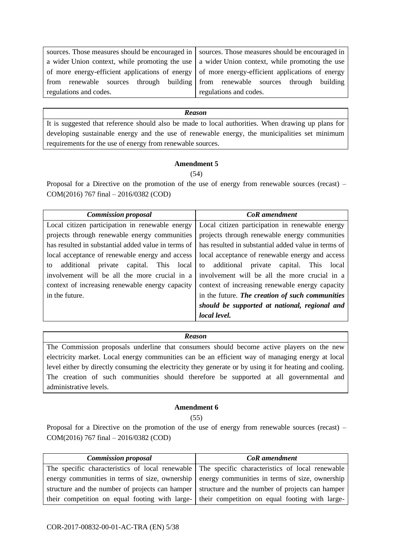sources. Those measures should be encouraged in a wider Union context, while promoting the use of more energy-efficient applications of energy from renewable sources through building regulations and codes.

sources. Those measures should be encouraged in a wider Union context, while promoting the use of more energy-efficient applications of energy from renewable sources through building regulations and codes.

#### *Reason*

It is suggested that reference should also be made to local authorities. When drawing up plans for developing sustainable energy and the use of renewable energy, the municipalities set minimum requirements for the use of energy from renewable sources.

#### **Amendment 5**

(54)

Proposal for a Directive on the promotion of the use of energy from renewable sources (recast) – COM(2016) 767 final – 2016/0382 (COD)

| <b>Commission proposal</b>                          | CoR amendment                                       |
|-----------------------------------------------------|-----------------------------------------------------|
| Local citizen participation in renewable energy     | Local citizen participation in renewable energy     |
| projects through renewable energy communities       | projects through renewable energy communities       |
| has resulted in substantial added value in terms of | has resulted in substantial added value in terms of |
| local acceptance of renewable energy and access     | local acceptance of renewable energy and access     |
| additional private capital. This local<br>to        | to additional private<br>capital. This<br>local     |
| involvement will be all the more crucial in a       | involvement will be all the more crucial in a       |
| context of increasing renewable energy capacity     | context of increasing renewable energy capacity     |
| in the future.                                      | in the future. The creation of such communities     |
|                                                     | should be supported at national, regional and       |
|                                                     | local level.                                        |

#### *Reason*

The Commission proposals underline that consumers should become active players on the new electricity market. Local energy communities can be an efficient way of managing energy at local level either by directly consuming the electricity they generate or by using it for heating and cooling. The creation of such communities should therefore be supported at all governmental and administrative levels.

#### **Amendment 6**

 $(55)$ 

| <b>Commission proposal</b>                                                                      | <b>CoR</b> amendment                                                                            |
|-------------------------------------------------------------------------------------------------|-------------------------------------------------------------------------------------------------|
|                                                                                                 | The specific characteristics of local renewable The specific characteristics of local renewable |
|                                                                                                 | energy communities in terms of size, ownership energy communities in terms of size, ownership   |
| structure and the number of projects can hamper structure and the number of projects can hamper |                                                                                                 |
| their competition on equal footing with large- their competition on equal footing with large-   |                                                                                                 |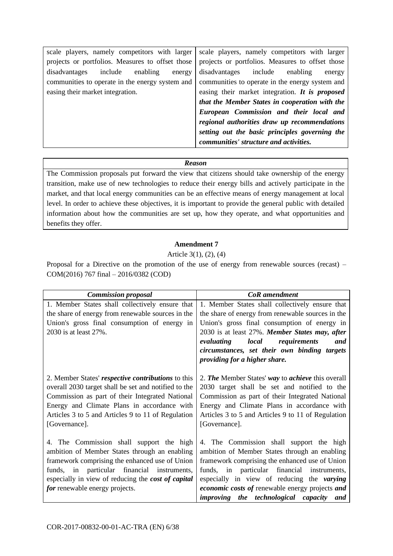| scale players, namely competitors with larger    | scale players, namely competitors with larger    |
|--------------------------------------------------|--------------------------------------------------|
| projects or portfolios. Measures to offset those | projects or portfolios. Measures to offset those |
| disadvantages<br>include<br>enabling<br>energy   | disadvantages include<br>enabling<br>energy      |
| communities to operate in the energy system and  | communities to operate in the energy system and  |
| easing their market integration.                 | easing their market integration. It is proposed  |
|                                                  | that the Member States in cooperation with the   |
|                                                  | European Commission and their local and          |
|                                                  | regional authorities draw up recommendations     |
|                                                  | setting out the basic principles governing the   |
|                                                  | communities' structure and activities.           |
|                                                  |                                                  |

The Commission proposals put forward the view that citizens should take ownership of the energy transition, make use of new technologies to reduce their energy bills and actively participate in the market, and that local energy communities can be an effective means of energy management at local level. In order to achieve these objectives, it is important to provide the general public with detailed information about how the communities are set up, how they operate, and what opportunities and benefits they offer.

# **Amendment 7**

#### Article 3(1), (2), (4)

| <b>Commission proposal</b>                                                                                                                                                                                                                                                                | <b>CoR</b> amendment                                                                                                                                                                                                                                                                                                                      |
|-------------------------------------------------------------------------------------------------------------------------------------------------------------------------------------------------------------------------------------------------------------------------------------------|-------------------------------------------------------------------------------------------------------------------------------------------------------------------------------------------------------------------------------------------------------------------------------------------------------------------------------------------|
| 1. Member States shall collectively ensure that<br>the share of energy from renewable sources in the<br>Union's gross final consumption of energy in<br>2030 is at least 27%.                                                                                                             | 1. Member States shall collectively ensure that<br>the share of energy from renewable sources in the<br>Union's gross final consumption of energy in<br>2030 is at least 27%. Member States may, after<br>evaluating<br><i>local</i> requirements<br>and<br>circumstances, set their own binding targets<br>providing for a higher share. |
| 2. Member States' respective contributions to this<br>overall 2030 target shall be set and notified to the<br>Commission as part of their Integrated National<br>Energy and Climate Plans in accordance with<br>Articles 3 to 5 and Articles 9 to 11 of Regulation<br>[Governance].       | 2. The Member States' way to achieve this overall<br>2030 target shall be set and notified to the<br>Commission as part of their Integrated National<br>Energy and Climate Plans in accordance with<br>Articles 3 to 5 and Articles 9 to 11 of Regulation<br>[Governance].                                                                |
| 4. The Commission shall support the high<br>ambition of Member States through an enabling<br>framework comprising the enhanced use of Union<br>funds, in particular financial instruments,<br>especially in view of reducing the <i>cost of capital</i><br>for renewable energy projects. | 4. The Commission shall support the high<br>ambition of Member States through an enabling<br>framework comprising the enhanced use of Union<br>funds, in particular financial instruments,<br>especially in view of reducing the varying<br>economic costs of renewable energy projects and<br>improving the technological capacity and   |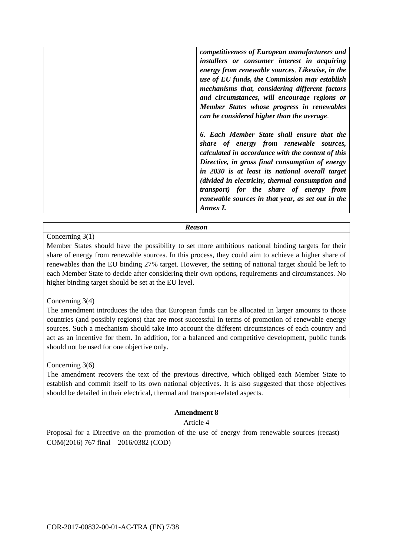| competitiveness of European manufacturers and<br>installers or consumer interest in acquiring<br>energy from renewable sources. Likewise, in the<br>use of EU funds, the Commission may establish<br>mechanisms that, considering different factors                                                                                                                                                              |
|------------------------------------------------------------------------------------------------------------------------------------------------------------------------------------------------------------------------------------------------------------------------------------------------------------------------------------------------------------------------------------------------------------------|
| and circumstances, will encourage regions or<br>Member States whose progress in renewables<br>can be considered higher than the average.                                                                                                                                                                                                                                                                         |
| 6. Each Member State shall ensure that the<br>share of energy from renewable sources,<br>calculated in accordance with the content of this<br>Directive, in gross final consumption of energy<br>in 2030 is at least its national overall target<br>(divided in electricity, thermal consumption and<br>transport) for the share of energy from<br>renewable sources in that year, as set out in the<br>Annex I. |

#### Concerning 3(1)

Member States should have the possibility to set more ambitious national binding targets for their share of energy from renewable sources. In this process, they could aim to achieve a higher share of renewables than the EU binding 27% target. However, the setting of national target should be left to each Member State to decide after considering their own options, requirements and circumstances. No higher binding target should be set at the EU level.

#### Concerning 3(4)

The amendment introduces the idea that European funds can be allocated in larger amounts to those countries (and possibly regions) that are most successful in terms of promotion of renewable energy sources. Such a mechanism should take into account the different circumstances of each country and act as an incentive for them. In addition, for a balanced and competitive development, public funds should not be used for one objective only.

Concerning 3(6)

The amendment recovers the text of the previous directive, which obliged each Member State to establish and commit itself to its own national objectives. It is also suggested that those objectives should be detailed in their electrical, thermal and transport-related aspects.

# **Amendment 8**

# Article 4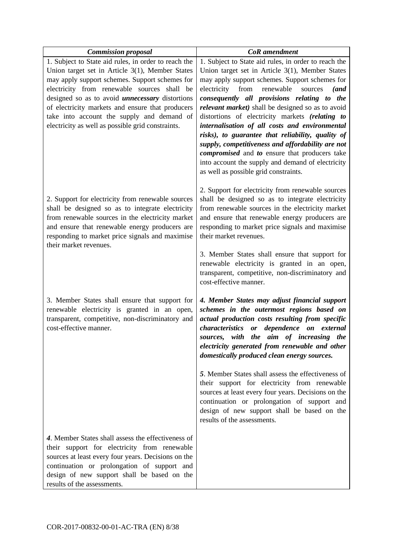| <b>Commission proposal</b>                                                                                                                                                                                                                                                                                                                                                                                                | <b>CoR</b> amendment                                                                                                                                                                                                                                                                                                                                                                                                                                                                                                                                                                                                                                                               |
|---------------------------------------------------------------------------------------------------------------------------------------------------------------------------------------------------------------------------------------------------------------------------------------------------------------------------------------------------------------------------------------------------------------------------|------------------------------------------------------------------------------------------------------------------------------------------------------------------------------------------------------------------------------------------------------------------------------------------------------------------------------------------------------------------------------------------------------------------------------------------------------------------------------------------------------------------------------------------------------------------------------------------------------------------------------------------------------------------------------------|
| 1. Subject to State aid rules, in order to reach the<br>Union target set in Article 3(1), Member States<br>may apply support schemes. Support schemes for<br>electricity from renewable sources shall be<br>designed so as to avoid <i>unnecessary</i> distortions<br>of electricity markets and ensure that producers<br>take into account the supply and demand of<br>electricity as well as possible grid constraints. | 1. Subject to State aid rules, in order to reach the<br>Union target set in Article $3(1)$ , Member States<br>may apply support schemes. Support schemes for<br>electricity<br>from renewable<br>sources<br>(and<br>consequently all provisions relating to the<br>relevant market) shall be designed so as to avoid<br>distortions of electricity markets (relating to<br>internalisation of all costs and environmental<br>risks), to guarantee that reliability, quality of<br>supply, competitiveness and affordability are not<br>compromised and to ensure that producers take<br>into account the supply and demand of electricity<br>as well as possible grid constraints. |
| 2. Support for electricity from renewable sources<br>shall be designed so as to integrate electricity<br>from renewable sources in the electricity market<br>and ensure that renewable energy producers are<br>responding to market price signals and maximise<br>their market revenues.                                                                                                                                  | 2. Support for electricity from renewable sources<br>shall be designed so as to integrate electricity<br>from renewable sources in the electricity market<br>and ensure that renewable energy producers are<br>responding to market price signals and maximise<br>their market revenues.                                                                                                                                                                                                                                                                                                                                                                                           |
|                                                                                                                                                                                                                                                                                                                                                                                                                           | 3. Member States shall ensure that support for<br>renewable electricity is granted in an open,<br>transparent, competitive, non-discriminatory and<br>cost-effective manner.                                                                                                                                                                                                                                                                                                                                                                                                                                                                                                       |
| 3. Member States shall ensure that support for<br>renewable electricity is granted in an open,<br>transparent, competitive, non-discriminatory and<br>cost-effective manner.                                                                                                                                                                                                                                              | 4. Member States may adjust financial support<br>schemes in the outermost regions based on<br>actual production costs resulting from specific<br>or dependence on external<br>characteristics<br>sources, with the aim of increasing the<br>electricity generated from renewable and other<br>domestically produced clean energy sources.                                                                                                                                                                                                                                                                                                                                          |
|                                                                                                                                                                                                                                                                                                                                                                                                                           | 5. Member States shall assess the effectiveness of<br>their support for electricity from renewable<br>sources at least every four years. Decisions on the<br>continuation or prolongation of support and<br>design of new support shall be based on the<br>results of the assessments.                                                                                                                                                                                                                                                                                                                                                                                             |
| 4. Member States shall assess the effectiveness of<br>their support for electricity from renewable<br>sources at least every four years. Decisions on the<br>continuation or prolongation of support and<br>design of new support shall be based on the<br>results of the assessments.                                                                                                                                    |                                                                                                                                                                                                                                                                                                                                                                                                                                                                                                                                                                                                                                                                                    |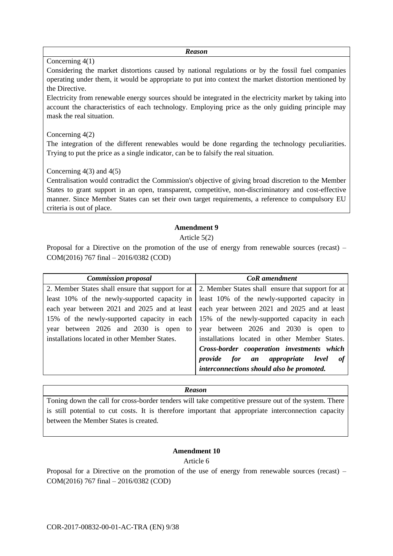#### Concerning 4(1)

Considering the market distortions caused by national regulations or by the fossil fuel companies operating under them, it would be appropriate to put into context the market distortion mentioned by the Directive.

Electricity from renewable energy sources should be integrated in the electricity market by taking into account the characteristics of each technology. Employing price as the only guiding principle may mask the real situation.

### Concerning 4(2)

The integration of the different renewables would be done regarding the technology peculiarities. Trying to put the price as a single indicator, can be to falsify the real situation.

# Concerning  $4(3)$  and  $4(5)$

Centralisation would contradict the Commission's objective of giving broad discretion to the Member States to grant support in an open, transparent, competitive, non-discriminatory and cost-effective manner. Since Member States can set their own target requirements, a reference to compulsory EU criteria is out of place.

#### **Amendment 9**

#### Article 5(2)

Proposal for a Directive on the promotion of the use of energy from renewable sources (recast) – COM(2016) 767 final – 2016/0382 (COD)

| <b>Commission proposal</b>                    | <b>CoR</b> amendment                                                                                |
|-----------------------------------------------|-----------------------------------------------------------------------------------------------------|
|                                               | 2. Member States shall ensure that support for at 2. Member States shall ensure that support for at |
|                                               | least 10% of the newly-supported capacity in least 10% of the newly-supported capacity in           |
|                                               | each year between 2021 and 2025 and at least   each year between 2021 and 2025 and at least         |
|                                               | 15% of the newly-supported capacity in each 15% of the newly-supported capacity in each             |
| year between 2026 and 2030 is open to         | year between 2026 and 2030 is open to                                                               |
| installations located in other Member States. | installations located in other Member States.                                                       |
|                                               | Cross-border cooperation investments which                                                          |
|                                               | provide for an appropriate level of                                                                 |
|                                               | interconnections should also be promoted.                                                           |

#### *Reason*

Toning down the call for cross-border tenders will take competitive pressure out of the system. There is still potential to cut costs. It is therefore important that appropriate interconnection capacity between the Member States is created.

# **Amendment 10**

Article 6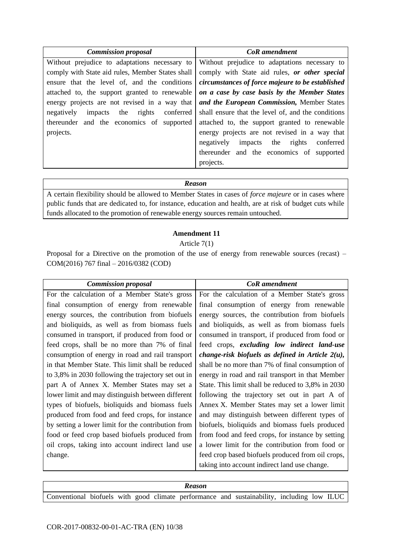| <b>Commission proposal</b>                       | CoR amendment                                       |
|--------------------------------------------------|-----------------------------------------------------|
| Without prejudice to adaptations necessary to    | Without prejudice to adaptations necessary to       |
| comply with State aid rules, Member States shall | comply with State aid rules, or other special       |
| ensure that the level of, and the conditions     | circumstances of force majeure to be established    |
| attached to, the support granted to renewable    | on a case by case basis by the Member States        |
| energy projects are not revised in a way that    | and the European Commission, Member States          |
| the rights conferred<br>negatively<br>impacts    | shall ensure that the level of, and the conditions  |
| thereunder and the economics of supported        | attached to, the support granted to renewable       |
| projects.                                        | energy projects are not revised in a way that       |
|                                                  | the<br>rights<br>negatively<br>impacts<br>conferred |
|                                                  | thereunder and the economics of supported           |
|                                                  | projects.                                           |

A certain flexibility should be allowed to Member States in cases of *force majeure* or in cases where public funds that are dedicated to, for instance, education and health, are at risk of budget cuts while funds allocated to the promotion of renewable energy sources remain untouched.

#### **Amendment 11**

### Article 7(1)

| <b>Commission proposal</b>                          | <b>CoR</b> amendment                                |
|-----------------------------------------------------|-----------------------------------------------------|
| For the calculation of a Member State's gross       | For the calculation of a Member State's gross       |
| final consumption of energy from renewable          | final consumption of energy from renewable          |
| energy sources, the contribution from biofuels      | energy sources, the contribution from biofuels      |
| and bioliquids, as well as from biomass fuels       | and bioliquids, as well as from biomass fuels       |
| consumed in transport, if produced from food or     | consumed in transport, if produced from food or     |
| feed crops, shall be no more than 7% of final       | feed crops, excluding low indirect land-use         |
| consumption of energy in road and rail transport    | change-risk biofuels as defined in Article $2(u)$ , |
| in that Member State. This limit shall be reduced   | shall be no more than 7% of final consumption of    |
| to 3,8% in 2030 following the trajectory set out in | energy in road and rail transport in that Member    |
| part A of Annex X. Member States may set a          | State. This limit shall be reduced to 3,8% in 2030  |
| lower limit and may distinguish between different   | following the trajectory set out in part A of       |
| types of biofuels, bioliquids and biomass fuels     | Annex X. Member States may set a lower limit        |
| produced from food and feed crops, for instance     | and may distinguish between different types of      |
| by setting a lower limit for the contribution from  | biofuels, bioliquids and biomass fuels produced     |
| food or feed crop based biofuels produced from      | from food and feed crops, for instance by setting   |
| oil crops, taking into account indirect land use    | a lower limit for the contribution from food or     |
| change.                                             | feed crop based biofuels produced from oil crops,   |
|                                                     | taking into account indirect land use change.       |

| <b>Reason</b> |  |  |  |  |  |  |                                                                                            |  |  |  |
|---------------|--|--|--|--|--|--|--------------------------------------------------------------------------------------------|--|--|--|
|               |  |  |  |  |  |  | Conventional biofuels with good climate performance and sustainability, including low ILUC |  |  |  |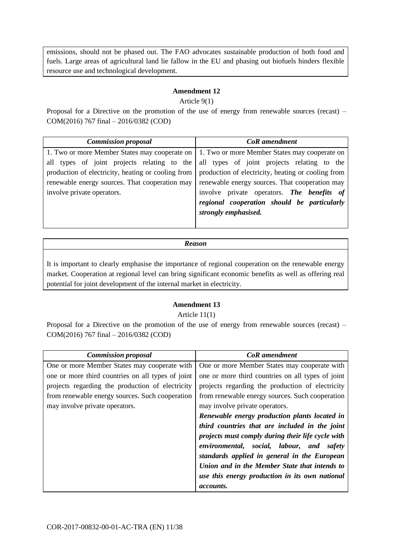emissions, should not be phased out. The FAO advocates sustainable production of both food and fuels. Large areas of agricultural land lie fallow in the EU and phasing out biofuels hinders flexible resource use and technological development.

# **Amendment 12**

#### Article 9(1)

Proposal for a Directive on the promotion of the use of energy from renewable sources (recast) – COM(2016) 767 final – 2016/0382 (COD)

| <b>Commission proposal</b>                         | CoR amendment                                      |
|----------------------------------------------------|----------------------------------------------------|
| 1. Two or more Member States may cooperate on      | 1. Two or more Member States may cooperate on      |
| all types of joint projects relating to the        | all types of joint projects relating to the        |
| production of electricity, heating or cooling from | production of electricity, heating or cooling from |
| renewable energy sources. That cooperation may     | renewable energy sources. That cooperation may     |
| involve private operators.                         | involve private operators. The benefits of         |
|                                                    | regional cooperation should be particularly        |
|                                                    | strongly emphasised.                               |
|                                                    |                                                    |

*Reason*

It is important to clearly emphasise the importance of regional cooperation on the renewable energy market. Cooperation at regional level can bring significant economic benefits as well as offering real potential for joint development of the internal market in electricity.

# **Amendment 13**

#### Article 11(1)

| <b>Commission proposal</b>                        | CoR amendment                                     |
|---------------------------------------------------|---------------------------------------------------|
| One or more Member States may cooperate with      | One or more Member States may cooperate with      |
| one or more third countries on all types of joint | one or more third countries on all types of joint |
| projects regarding the production of electricity  | projects regarding the production of electricity  |
| from renewable energy sources. Such cooperation   | from renewable energy sources. Such cooperation   |
| may involve private operators.                    | may involve private operators.                    |
|                                                   | Renewable energy production plants located in     |
|                                                   | third countries that are included in the joint    |
|                                                   | projects must comply during their life cycle with |
|                                                   | environmental, social, labour, and<br>safety      |
|                                                   | standards applied in general in the European      |
|                                                   | Union and in the Member State that intends to     |
|                                                   | use this energy production in its own national    |
|                                                   | <i>accounts.</i>                                  |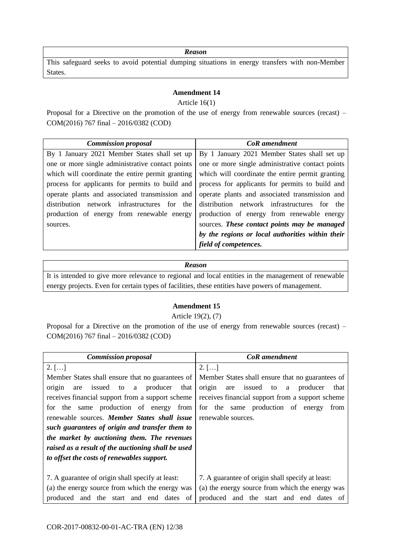This safeguard seeks to avoid potential dumping situations in energy transfers with non-Member States.

#### **Amendment 14**

Article 16(1)

Proposal for a Directive on the promotion of the use of energy from renewable sources (recast) – COM(2016) 767 final – 2016/0382 (COD)

| <b>Commission proposal</b>                       | CoR amendment                                    |
|--------------------------------------------------|--------------------------------------------------|
| By 1 January 2021 Member States shall set up     | By 1 January 2021 Member States shall set up     |
| one or more single administrative contact points | one or more single administrative contact points |
| which will coordinate the entire permit granting | which will coordinate the entire permit granting |
| process for applicants for permits to build and  | process for applicants for permits to build and  |
| operate plants and associated transmission and   | operate plants and associated transmission and   |
| distribution network infrastructures for the     | distribution network infrastructures for the     |
| production of energy from renewable energy       | production of energy from renewable energy       |
| sources.                                         | sources. These contact points may be managed     |
|                                                  | by the regions or local authorities within their |
|                                                  | field of competences.                            |

#### *Reason*

It is intended to give more relevance to regional and local entities in the management of renewable energy projects. Even for certain types of facilities, these entities have powers of management.

# **Amendment 15**

Article 19(2), (7)

| <b>Commission proposal</b>                         | <b>CoR</b> amendment                                |
|----------------------------------------------------|-----------------------------------------------------|
| $2.$ []                                            | $2.$ []                                             |
| Member States shall ensure that no guarantees of   | Member States shall ensure that no guarantees of    |
| a producer<br>issued to<br>origin<br>that<br>are   | origin<br>are issued<br>producer<br>to<br>that<br>a |
| receives financial support from a support scheme   | receives financial support from a support scheme    |
| for the same production of energy from             | for the same production of energy<br>from           |
| renewable sources. Member States shall issue       | renewable sources.                                  |
| such guarantees of origin and transfer them to     |                                                     |
| the market by auctioning them. The revenues        |                                                     |
| raised as a result of the auctioning shall be used |                                                     |
| to offset the costs of renewables support.         |                                                     |
|                                                    |                                                     |
| 7. A guarantee of origin shall specify at least:   | 7. A guarantee of origin shall specify at least:    |
| (a) the energy source from which the energy was    | (a) the energy source from which the energy was     |
| produced and the start and end dates of            | produced and the start and end dates<br>of          |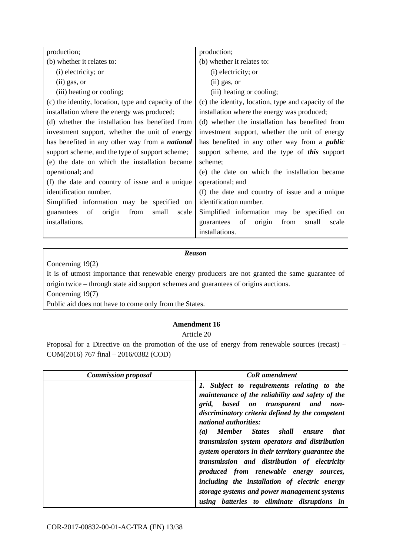| production;                                           | production;                                          |
|-------------------------------------------------------|------------------------------------------------------|
| (b) whether it relates to:                            | (b) whether it relates to:                           |
| (i) electricity; or                                   | (i) electricity; or                                  |
| $(ii)$ gas, or                                        | $(ii)$ gas, or                                       |
| (iii) heating or cooling;                             | (iii) heating or cooling;                            |
| (c) the identity, location, type and capacity of the  | (c) the identity, location, type and capacity of the |
| installation where the energy was produced;           | installation where the energy was produced;          |
| (d) whether the installation has benefited from       | (d) whether the installation has benefited from      |
| investment support, whether the unit of energy        | investment support, whether the unit of energy       |
| has benefited in any other way from a <i>national</i> | has benefited in any other way from a <i>public</i>  |
| support scheme, and the type of support scheme;       | support scheme, and the type of <i>this</i> support  |
| (e) the date on which the installation became         | scheme;                                              |
| operational; and                                      | (e) the date on which the installation became        |
| (f) the date and country of issue and a unique        | operational; and                                     |
| identification number.                                | (f) the date and country of issue and a unique       |
| Simplified information may be specified on            | identification number.                               |
| of<br>from<br>small<br>origin<br>scale<br>guarantees  | Simplified information may be specified on           |
| installations.                                        | guarantees of<br>origin<br>from<br>small<br>scale    |
|                                                       | installations.                                       |

Concerning 19(2)

It is of utmost importance that renewable energy producers are not granted the same guarantee of origin twice – through state aid support schemes and guarantees of origins auctions.

Concerning 19(7)

Public aid does not have to come only from the States.

# **Amendment 16**

Article 20

| <b>Commission proposal</b> | <b>CoR</b> amendment                                                                                                                                                                                                                                                                                                                                                                                                                                                                                                                                                               |
|----------------------------|------------------------------------------------------------------------------------------------------------------------------------------------------------------------------------------------------------------------------------------------------------------------------------------------------------------------------------------------------------------------------------------------------------------------------------------------------------------------------------------------------------------------------------------------------------------------------------|
|                            | 1. Subject to requirements relating to the<br>maintenance of the reliability and safety of the<br>grid, based on transparent and<br>non-<br>discriminatory criteria defined by the competent<br>national authorities:<br>Member States shall<br><i>that</i><br>(a)<br>ensure<br>transmission system operators and distribution<br>system operators in their territory guarantee the<br>transmission and distribution of electricity<br>produced from renewable energy<br>sources,<br>including the installation of electric energy<br>storage systems and power management systems |
|                            | using batteries to eliminate disruptions in                                                                                                                                                                                                                                                                                                                                                                                                                                                                                                                                        |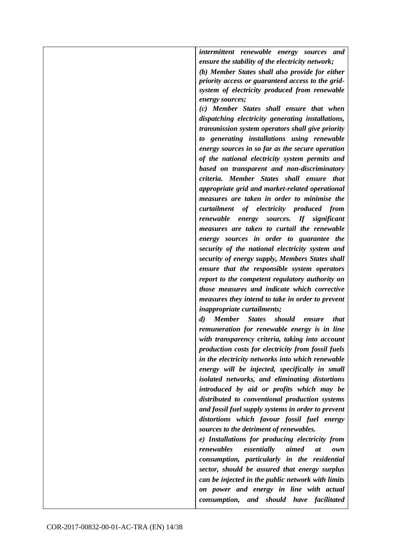*intermittent renewable energy sources and ensure the stability of the electricity network;*

*(b) Member States shall also provide for either priority access or guaranteed access to the gridsystem of electricity produced from renewable energy sources;*

*(c) Member States shall ensure that when dispatching electricity generating installations, transmission system operators shall give priority to generating installations using renewable energy sources in so far as the secure operation of the national electricity system permits and based on transparent and non-discriminatory criteria. Member States shall ensure that appropriate grid and market-related operational measures are taken in order to minimise the curtailment of electricity produced from renewable energy sources. If significant measures are taken to curtail the renewable energy sources in order to guarantee the security of the national electricity system and security of energy supply, Members States shall ensure that the responsible system operators report to the competent regulatory authority on those measures and indicate which corrective measures they intend to take in order to prevent inappropriate curtailments;*

*d) Member States should ensure that remuneration for renewable energy is in line with transparency criteria, taking into account production costs for electricity from fossil fuels in the electricity networks into which renewable energy will be injected, specifically in small isolated networks, and eliminating distortions introduced by aid or profits which may be distributed to conventional production systems and fossil fuel supply systems in order to prevent distortions which favour fossil fuel energy sources to the detriment of renewables.*

*e) Installations for producing electricity from renewables essentially aimed at own consumption, particularly in the residential sector, should be assured that energy surplus can be injected in the public network with limits on power and energy in line with actual consumption, and should have facilitated*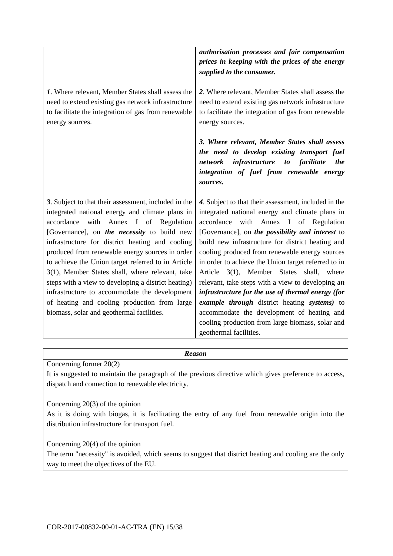|                                                                                                                                                                                                                                                                                                                                                                                                                                                                                                                                                                                                                           | authorisation processes and fair compensation<br>prices in keeping with the prices of the energy<br>supplied to the consumer.                                                                                                                                                                                                                                                                                                                                                                                                                                                                                                                                                                              |
|---------------------------------------------------------------------------------------------------------------------------------------------------------------------------------------------------------------------------------------------------------------------------------------------------------------------------------------------------------------------------------------------------------------------------------------------------------------------------------------------------------------------------------------------------------------------------------------------------------------------------|------------------------------------------------------------------------------------------------------------------------------------------------------------------------------------------------------------------------------------------------------------------------------------------------------------------------------------------------------------------------------------------------------------------------------------------------------------------------------------------------------------------------------------------------------------------------------------------------------------------------------------------------------------------------------------------------------------|
| 1. Where relevant, Member States shall assess the<br>need to extend existing gas network infrastructure<br>to facilitate the integration of gas from renewable<br>energy sources.                                                                                                                                                                                                                                                                                                                                                                                                                                         | 2. Where relevant, Member States shall assess the<br>need to extend existing gas network infrastructure<br>to facilitate the integration of gas from renewable<br>energy sources.                                                                                                                                                                                                                                                                                                                                                                                                                                                                                                                          |
|                                                                                                                                                                                                                                                                                                                                                                                                                                                                                                                                                                                                                           | 3. Where relevant, Member States shall assess<br>the need to develop existing transport fuel<br><i>infrastructure to facilitate</i><br>network<br><i>the</i><br>integration of fuel from renewable energy<br>sources.                                                                                                                                                                                                                                                                                                                                                                                                                                                                                      |
| 3. Subject to that their assessment, included in the<br>integrated national energy and climate plans in<br>with<br>Annex I of Regulation<br>accordance<br>[Governance], on the necessity to build new<br>infrastructure for district heating and cooling<br>produced from renewable energy sources in order<br>to achieve the Union target referred to in Article<br>3(1), Member States shall, where relevant, take<br>steps with a view to developing a district heating)<br>infrastructure to accommodate the development<br>of heating and cooling production from large<br>biomass, solar and geothermal facilities. | 4. Subject to that their assessment, included in the<br>integrated national energy and climate plans in<br>with<br>Annex I of Regulation<br>accordance<br>[Governance], on the possibility and interest to<br>build new infrastructure for district heating and<br>cooling produced from renewable energy sources<br>in order to achieve the Union target referred to in<br>Article 3(1), Member States shall, where<br>relevant, take steps with a view to developing an<br>infrastructure for the use of thermal energy (for<br>example through district heating systems) to<br>accommodate the development of heating and<br>cooling production from large biomass, solar and<br>geothermal facilities. |

Concerning former 20(2)

It is suggested to maintain the paragraph of the previous directive which gives preference to access, dispatch and connection to renewable electricity.

Concerning 20(3) of the opinion

As it is doing with biogas, it is facilitating the entry of any fuel from renewable origin into the distribution infrastructure for transport fuel.

Concerning 20(4) of the opinion

The term "necessity" is avoided, which seems to suggest that district heating and cooling are the only way to meet the objectives of the EU.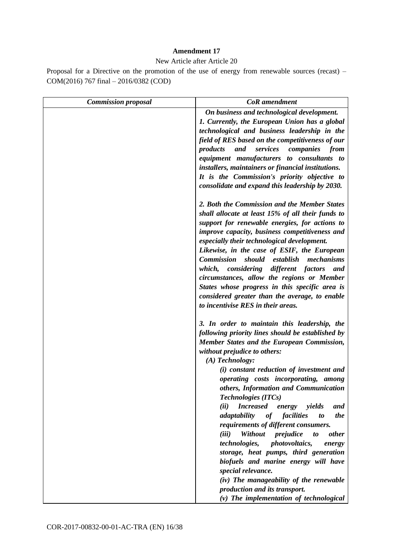#### **Amendment 17**

New Article after Article 20

| <b>Commission proposal</b> | <b>CoR</b> amendment                                                                                                                                                                                                                                                                                                                                                                                                                                                                                                                                                                                                                                                                                                                                                                                                                                        |
|----------------------------|-------------------------------------------------------------------------------------------------------------------------------------------------------------------------------------------------------------------------------------------------------------------------------------------------------------------------------------------------------------------------------------------------------------------------------------------------------------------------------------------------------------------------------------------------------------------------------------------------------------------------------------------------------------------------------------------------------------------------------------------------------------------------------------------------------------------------------------------------------------|
|                            | On business and technological development.<br>1. Currently, the European Union has a global<br>technological and business leadership in the<br>field of RES based on the competitiveness of our<br>and<br>services<br>products<br>companies<br>from<br>equipment manufacturers to consultants to<br>installers, maintainers or financial institutions.<br>It is the Commission's priority objective to<br>consolidate and expand this leadership by 2030.                                                                                                                                                                                                                                                                                                                                                                                                   |
|                            | 2. Both the Commission and the Member States<br>shall allocate at least 15% of all their funds to<br>support for renewable energies, for actions to<br>improve capacity, business competitiveness and<br>especially their technological development.<br>Likewise, in the case of ESIF, the European<br><b>Commission</b><br>should<br>establish<br>mechanisms<br>which, considering different factors<br>and<br>circumstances, allow the regions or Member<br>States whose progress in this specific area is<br>considered greater than the average, to enable<br>to incentivise RES in their areas.                                                                                                                                                                                                                                                        |
|                            | 3. In order to maintain this leadership, the<br>following priority lines should be established by<br>Member States and the European Commission,<br>without prejudice to others:<br>$(A)$ Technology:<br>(i) constant reduction of investment and<br>operating costs incorporating, among<br>others, Information and Communication<br><b>Technologies (ITCs)</b><br>(ii)<br><b>Increased</b><br>energy yields<br>and<br>adaptability<br>of facilities<br>the<br>to<br>requirements of different consumers.<br>Without<br>(iii)<br>prejudice<br><i>other</i><br>to<br><i>technologies,</i><br><i>photovoltaics,</i><br>energy<br>storage, heat pumps, third generation<br>biofuels and marine energy will have<br>special relevance.<br>(iv) The manageability of the renewable<br>production and its transport.<br>$(v)$ The implementation of technological |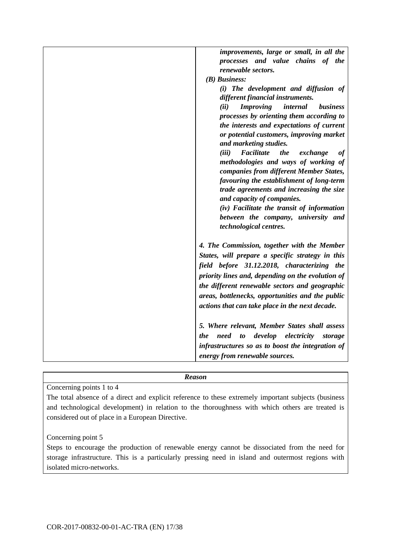| improvements, large or small, in all the                |
|---------------------------------------------------------|
| processes and value chains of the                       |
| renewable sectors.                                      |
| $(B)$ Business:                                         |
|                                                         |
| (i) The development and diffusion of                    |
| different financial instruments.                        |
| <b>Improving</b><br>internal<br><i>business</i><br>(ii) |
| processes by orienting them according to                |
| the interests and expectations of current               |
| or potential customers, improving market                |
| and marketing studies.                                  |
| Facilitate<br>the<br>(iii)<br>exchange<br>оf            |
| methodologies and ways of working of                    |
| companies from different Member States,                 |
| favouring the establishment of long-term                |
| trade agreements and increasing the size                |
| and capacity of companies.                              |
| (iv) Facilitate the transit of information              |
| between the company, university and                     |
| technological centres.                                  |
| 4. The Commission, together with the Member             |
| States, will prepare a specific strategy in this        |
|                                                         |
| field before 31.12.2018, characterizing the             |
| priority lines and, depending on the evolution of       |
| the different renewable sectors and geographic          |
| areas, bottlenecks, opportunities and the public        |
| actions that can take place in the next decade.         |
|                                                         |
| 5. Where relevant, Member States shall assess           |
| develop<br>electricity<br>need<br>to<br>the<br>storage  |
| infrastructures so as to boost the integration of       |
| energy from renewable sources.                          |
|                                                         |

Concerning points 1 to 4

The total absence of a direct and explicit reference to these extremely important subjects (business and technological development) in relation to the thoroughness with which others are treated is considered out of place in a European Directive.

Concerning point 5

Steps to encourage the production of renewable energy cannot be dissociated from the need for storage infrastructure. This is a particularly pressing need in island and outermost regions with isolated micro-networks.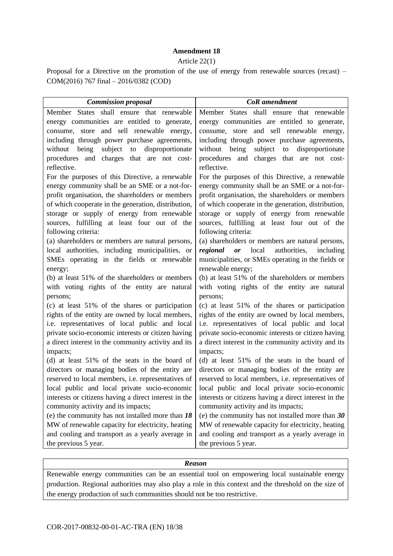#### **Amendment 18**

#### Article 22(1)

Proposal for a Directive on the promotion of the use of energy from renewable sources (recast) – COM(2016) 767 final – 2016/0382 (COD)

| <b>Commission proposal</b>                                                                   | <b>CoR</b> amendment                                                                         |
|----------------------------------------------------------------------------------------------|----------------------------------------------------------------------------------------------|
| Member States shall ensure that renewable                                                    | Member States shall ensure that renewable                                                    |
| energy communities are entitled to generate,                                                 | energy communities are entitled to generate,                                                 |
| consume, store and sell renewable energy,                                                    | consume, store and sell renewable energy,                                                    |
| including through power purchase agreements,                                                 | including through power purchase agreements,                                                 |
| being<br>subject to<br>disproportionate<br>without                                           | without being<br>subject to<br>disproportionate                                              |
| procedures and charges that are not cost-<br>reflective.                                     | procedures and charges that are not cost-<br>reflective.                                     |
| For the purposes of this Directive, a renewable                                              | For the purposes of this Directive, a renewable                                              |
| energy community shall be an SME or a not-for-                                               | energy community shall be an SME or a not-for-                                               |
| profit organisation, the shareholders or members                                             | profit organisation, the shareholders or members                                             |
| of which cooperate in the generation, distribution,                                          | of which cooperate in the generation, distribution,                                          |
| storage or supply of energy from renewable                                                   | storage or supply of energy from renewable                                                   |
| sources, fulfilling at least four out of the                                                 | sources, fulfilling at least four out of the                                                 |
| following criteria:                                                                          | following criteria:                                                                          |
| (a) shareholders or members are natural persons,                                             | (a) shareholders or members are natural persons,                                             |
| local authorities, including municipalities, or                                              | <i>regional or</i> local<br>authorities, including                                           |
| SMEs operating in the fields or renewable                                                    | municipalities, or SMEs operating in the fields or                                           |
| energy;                                                                                      | renewable energy;                                                                            |
| (b) at least 51% of the shareholders or members                                              | (b) at least 51% of the shareholders or members                                              |
| with voting rights of the entity are natural                                                 | with voting rights of the entity are natural                                                 |
| persons;                                                                                     | persons;                                                                                     |
| (c) at least 51% of the shares or participation                                              | (c) at least 51% of the shares or participation                                              |
| rights of the entity are owned by local members,                                             | rights of the entity are owned by local members,                                             |
| i.e. representatives of local public and local                                               | i.e. representatives of local public and local                                               |
| private socio-economic interests or citizen having                                           | private socio-economic interests or citizen having                                           |
| a direct interest in the community activity and its                                          | a direct interest in the community activity and its                                          |
| impacts;                                                                                     | impacts;                                                                                     |
| (d) at least 51% of the seats in the board of                                                | (d) at least 51% of the seats in the board of                                                |
| directors or managing bodies of the entity are                                               | directors or managing bodies of the entity are                                               |
| reserved to local members, i.e. representatives of                                           | reserved to local members, i.e. representatives of                                           |
| local public and local private socio-economic                                                | local public and local private socio-economic                                                |
| interests or citizens having a direct interest in the<br>community activity and its impacts; | interests or citizens having a direct interest in the<br>community activity and its impacts; |
| (e) the community has not installed more than $18$                                           | (e) the community has not installed more than $30$                                           |
| MW of renewable capacity for electricity, heating                                            | MW of renewable capacity for electricity, heating                                            |
| and cooling and transport as a yearly average in                                             | and cooling and transport as a yearly average in                                             |
| the previous 5 year.                                                                         | the previous 5 year.                                                                         |

# *Reason*

Renewable energy communities can be an essential tool on empowering local sustainable energy production. Regional authorities may also play a role in this context and the threshold on the size of the energy production of such communities should not be too restrictive.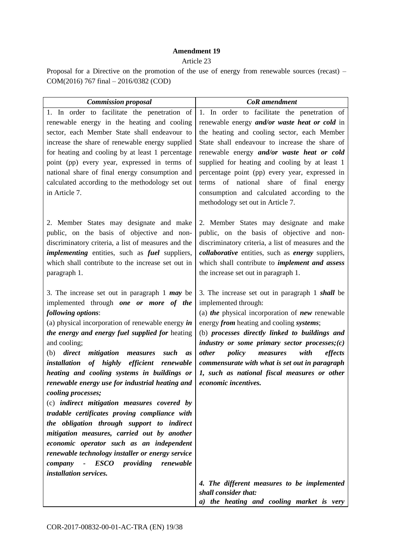## **Amendment 19**

#### Article 23

| <b>Commission proposal</b>                                                                                                                                                                                                                                                                                                                                                                                                                                                                                                                                                                                                                                                                                                                                                                                                                                             | <b>CoR</b> amendment                                                                                                                                                                                                                                                                                                                                                                                                                                                               |
|------------------------------------------------------------------------------------------------------------------------------------------------------------------------------------------------------------------------------------------------------------------------------------------------------------------------------------------------------------------------------------------------------------------------------------------------------------------------------------------------------------------------------------------------------------------------------------------------------------------------------------------------------------------------------------------------------------------------------------------------------------------------------------------------------------------------------------------------------------------------|------------------------------------------------------------------------------------------------------------------------------------------------------------------------------------------------------------------------------------------------------------------------------------------------------------------------------------------------------------------------------------------------------------------------------------------------------------------------------------|
| 1. In order to facilitate the penetration of<br>renewable energy in the heating and cooling<br>sector, each Member State shall endeavour to<br>increase the share of renewable energy supplied<br>for heating and cooling by at least 1 percentage<br>point (pp) every year, expressed in terms of<br>national share of final energy consumption and<br>calculated according to the methodology set out<br>in Article 7.                                                                                                                                                                                                                                                                                                                                                                                                                                               | 1. In order to facilitate the penetration of<br>renewable energy and/or waste heat or cold in<br>the heating and cooling sector, each Member<br>State shall endeavour to increase the share of<br>renewable energy and/or waste heat or cold<br>supplied for heating and cooling by at least 1<br>percentage point (pp) every year, expressed in<br>terms of national share of final<br>energy<br>consumption and calculated according to the<br>methodology set out in Article 7. |
| 2. Member States may designate and make<br>public, on the basis of objective and non-<br>discriminatory criteria, a list of measures and the<br><i>implementing</i> entities, such as <i>fuel</i> suppliers,<br>which shall contribute to the increase set out in<br>paragraph 1.                                                                                                                                                                                                                                                                                                                                                                                                                                                                                                                                                                                      | 2. Member States may designate and make<br>public, on the basis of objective and non-<br>discriminatory criteria, a list of measures and the<br><i>collaborative</i> entities, such as <i>energy</i> suppliers,<br>which shall contribute to <i>implement and assess</i><br>the increase set out in paragraph 1.                                                                                                                                                                   |
| 3. The increase set out in paragraph $1$ may be<br>implemented through one or more of the<br>following options:<br>(a) physical incorporation of renewable energy $\boldsymbol{in}$<br>the energy and energy fuel supplied for heating<br>and cooling;<br>mitigation measures<br>$(b)$ direct<br>such<br><i>as</i><br>of highly efficient renewable<br>installation<br>heating and cooling systems in buildings or<br>renewable energy use for industrial heating and<br>cooling processes;<br>(c) indirect mitigation measures covered by<br>tradable certificates proving compliance with<br>the obligation through support to indirect<br>mitigation measures, carried out by another<br>economic operator such as an independent<br>renewable technology installer or energy service<br><i>ESCO</i><br>company<br>providing<br>renewable<br>installation services. | 3. The increase set out in paragraph 1 shall be<br>implemented through:<br>(a) the physical incorporation of $new$ renewable<br>energy from heating and cooling systems;<br>(b) processes directly linked to buildings and<br>industry or some primary sector processes; $(c)$<br>policy<br><i>other</i><br>measures<br>with<br>effects<br>commensurate with what is set out in paragraph<br>1, such as national fiscal measures or other<br>economic incentives.                  |
|                                                                                                                                                                                                                                                                                                                                                                                                                                                                                                                                                                                                                                                                                                                                                                                                                                                                        | 4. The different measures to be implemented<br>shall consider that:                                                                                                                                                                                                                                                                                                                                                                                                                |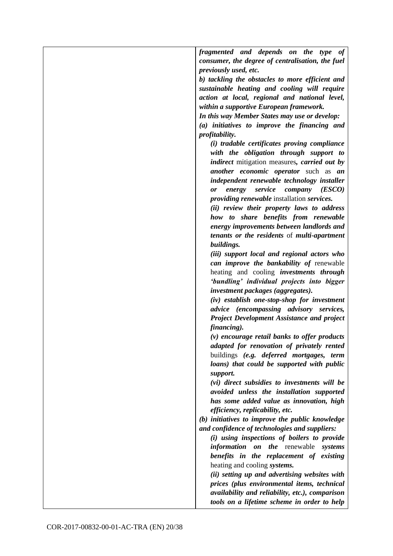| fragmented and depends on the type of                      |
|------------------------------------------------------------|
| consumer, the degree of centralisation, the fuel           |
| previously used, etc.                                      |
|                                                            |
| b) tackling the obstacles to more efficient and            |
| sustainable heating and cooling will require               |
| action at local, regional and national level,              |
| within a supportive European framework.                    |
| In this way Member States may use or develop:              |
| (a) initiatives to improve the financing and               |
| <i>profitability.</i>                                      |
| (i) tradable certificates proving compliance               |
| with the obligation through support to                     |
| <i>indirect</i> mitigation measures, <i>carried out by</i> |
| <i>another economic operator</i> such as <i>an</i>         |
| independent renewable technology installer                 |
| service<br>company<br>(ESCO)<br>energy<br>0r               |
| providing renewable installation services.                 |
| (ii) review their property laws to address                 |
| how to share benefits from renewable                       |
| energy improvements between landlords and                  |
| tenants or the residents of multi-apartment                |
| buildings.                                                 |
| (iii) support local and regional actors who                |
| can improve the bankability of renewable                   |
| heating and cooling <i>investments through</i>             |
|                                                            |
| 'bundling' individual projects into bigger                 |
| investment packages (aggregates).                          |
| (iv) establish one-stop-shop for investment                |
| advice (encompassing advisory services,                    |
| <b>Project Development Assistance and project</b>          |
| financing).                                                |
| $(v)$ encourage retail banks to offer products             |
| adapted for renovation of privately rented                 |
| buildings (e.g. deferred mortgages, term                   |
| loans) that could be supported with public                 |
| support.                                                   |
| (vi) direct subsidies to investments will be               |
| avoided unless the installation supported                  |
| has some added value as innovation, high                   |
| efficiency, replicability, etc.                            |
| (b) initiatives to improve the public knowledge            |
| and confidence of technologies and suppliers:              |
| (i) using inspections of boilers to provide                |
| <i>information</i><br><i>on the</i> renewable<br>systems   |
| benefits in the replacement of existing                    |
| heating and cooling systems.                               |
| (ii) setting up and advertising websites with              |
| prices (plus environmental items, technical                |
| availability and reliability, etc.), comparison            |
| tools on a lifetime scheme in order to help                |
|                                                            |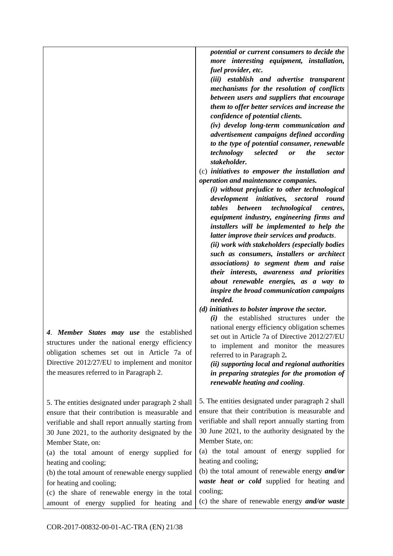| 4. Member States may use the established<br>structures under the national energy efficiency<br>obligation schemes set out in Article 7a of<br>Directive 2012/27/EU to implement and monitor<br>the measures referred to in Paragraph 2. | confidence of potential clients.<br>(iv) develop long-term communication and<br>advertisement campaigns defined according<br>to the type of potential consumer, renewable<br>the<br>technology<br>selected<br>or<br>sector<br>stakeholder.<br>(c) initiatives to empower the installation and<br>operation and maintenance companies.<br>(i) without prejudice to other technological<br>development initiatives, sectoral<br>round<br><b>between</b><br>technological<br>tables<br>centres,<br>equipment industry, engineering firms and<br>installers will be implemented to help the<br>latter improve their services and products.<br>(ii) work with stakeholders (especially bodies<br>such as consumers, installers or architect<br>associations) to segment them and raise<br>their interests, awareness and priorities<br>about renewable energies, as a way to<br>inspire the broad communication campaigns<br>needed.<br>(d) initiatives to bolster improve the sector.<br>(i) the established structures under the<br>national energy efficiency obligation schemes<br>set out in Article 7a of Directive 2012/27/EU<br>to implement and monitor the measures<br>referred to in Paragraph 2.<br>(ii) supporting local and regional authorities<br>in preparing strategies for the promotion of |
|-----------------------------------------------------------------------------------------------------------------------------------------------------------------------------------------------------------------------------------------|-----------------------------------------------------------------------------------------------------------------------------------------------------------------------------------------------------------------------------------------------------------------------------------------------------------------------------------------------------------------------------------------------------------------------------------------------------------------------------------------------------------------------------------------------------------------------------------------------------------------------------------------------------------------------------------------------------------------------------------------------------------------------------------------------------------------------------------------------------------------------------------------------------------------------------------------------------------------------------------------------------------------------------------------------------------------------------------------------------------------------------------------------------------------------------------------------------------------------------------------------------------------------------------------------------------|
|                                                                                                                                                                                                                                         | renewable heating and cooling.                                                                                                                                                                                                                                                                                                                                                                                                                                                                                                                                                                                                                                                                                                                                                                                                                                                                                                                                                                                                                                                                                                                                                                                                                                                                            |
| 5. The entities designated under paragraph 2 shall                                                                                                                                                                                      | 5. The entities designated under paragraph 2 shall                                                                                                                                                                                                                                                                                                                                                                                                                                                                                                                                                                                                                                                                                                                                                                                                                                                                                                                                                                                                                                                                                                                                                                                                                                                        |
| ensure that their contribution is measurable and                                                                                                                                                                                        | ensure that their contribution is measurable and                                                                                                                                                                                                                                                                                                                                                                                                                                                                                                                                                                                                                                                                                                                                                                                                                                                                                                                                                                                                                                                                                                                                                                                                                                                          |
| verifiable and shall report annually starting from                                                                                                                                                                                      | verifiable and shall report annually starting from                                                                                                                                                                                                                                                                                                                                                                                                                                                                                                                                                                                                                                                                                                                                                                                                                                                                                                                                                                                                                                                                                                                                                                                                                                                        |
| 30 June 2021, to the authority designated by the                                                                                                                                                                                        | 30 June 2021, to the authority designated by the                                                                                                                                                                                                                                                                                                                                                                                                                                                                                                                                                                                                                                                                                                                                                                                                                                                                                                                                                                                                                                                                                                                                                                                                                                                          |
| Member State, on:                                                                                                                                                                                                                       | Member State, on:                                                                                                                                                                                                                                                                                                                                                                                                                                                                                                                                                                                                                                                                                                                                                                                                                                                                                                                                                                                                                                                                                                                                                                                                                                                                                         |
| (a) the total amount of energy supplied for                                                                                                                                                                                             | (a) the total amount of energy supplied for                                                                                                                                                                                                                                                                                                                                                                                                                                                                                                                                                                                                                                                                                                                                                                                                                                                                                                                                                                                                                                                                                                                                                                                                                                                               |
| heating and cooling;                                                                                                                                                                                                                    | heating and cooling;                                                                                                                                                                                                                                                                                                                                                                                                                                                                                                                                                                                                                                                                                                                                                                                                                                                                                                                                                                                                                                                                                                                                                                                                                                                                                      |
| (b) the total amount of renewable energy supplied                                                                                                                                                                                       | (b) the total amount of renewable energy <i>and/or</i>                                                                                                                                                                                                                                                                                                                                                                                                                                                                                                                                                                                                                                                                                                                                                                                                                                                                                                                                                                                                                                                                                                                                                                                                                                                    |
| for heating and cooling;                                                                                                                                                                                                                | waste heat or cold supplied for heating and                                                                                                                                                                                                                                                                                                                                                                                                                                                                                                                                                                                                                                                                                                                                                                                                                                                                                                                                                                                                                                                                                                                                                                                                                                                               |
| (c) the share of renewable energy in the total                                                                                                                                                                                          | cooling;                                                                                                                                                                                                                                                                                                                                                                                                                                                                                                                                                                                                                                                                                                                                                                                                                                                                                                                                                                                                                                                                                                                                                                                                                                                                                                  |
| amount of energy supplied for heating and                                                                                                                                                                                               | (c) the share of renewable energy <i>and/or waste</i>                                                                                                                                                                                                                                                                                                                                                                                                                                                                                                                                                                                                                                                                                                                                                                                                                                                                                                                                                                                                                                                                                                                                                                                                                                                     |
|                                                                                                                                                                                                                                         |                                                                                                                                                                                                                                                                                                                                                                                                                                                                                                                                                                                                                                                                                                                                                                                                                                                                                                                                                                                                                                                                                                                                                                                                                                                                                                           |

*potential or current consumers to decide the more interesting equipment, installation,* 

*(iii) establish and advertise transparent mechanisms for the resolution of conflicts between users and suppliers that encourage them to offer better services and increase the* 

*fuel provider, etc.*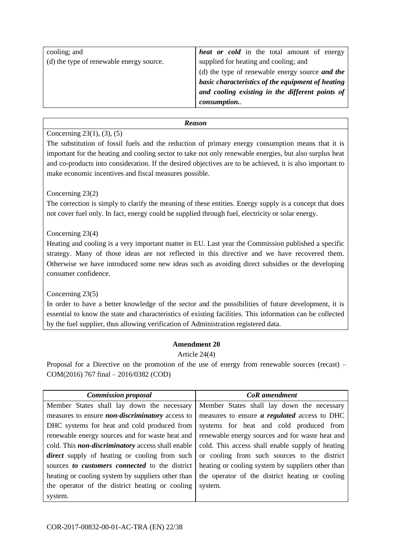| cooling; and                             | <b>heat or cold</b> in the total amount of energy |
|------------------------------------------|---------------------------------------------------|
|                                          |                                                   |
| (d) the type of renewable energy source. | supplied for heating and cooling; and             |
|                                          | (d) the type of renewable energy source and the   |
|                                          | basic characteristics of the equipment of heating |
|                                          | and cooling existing in the different points of   |
|                                          | consumption                                       |
|                                          |                                                   |

# Concerning 23(1), (3), (5)

The substitution of fossil fuels and the reduction of primary energy consumption means that it is important for the heating and cooling sector to take not only renewable energies, but also surplus heat and co-products into consideration. If the desired objectives are to be achieved, it is also important to make economic incentives and fiscal measures possible.

# Concerning 23(2)

The correction is simply to clarify the meaning of these entities. Energy supply is a concept that does not cover fuel only. In fact, energy could be supplied through fuel, electricity or solar energy.

# Concerning 23(4)

Heating and cooling is a very important matter in EU. Last year the Commission published a specific strategy. Many of those ideas are not reflected in this directive and we have recovered them. Otherwise we have introduced some new ideas such as avoiding direct subsidies or the developing consumer confidence.

Concerning 23(5)

In order to have a better knowledge of the sector and the possibilities of future development, it is essential to know the state and characteristics of existing facilities. This information can be collected by the fuel supplier, thus allowing verification of Administration registered data.

# **Amendment 20**

# Article 24(4)

| <b>Commission proposal</b>                               | CoR amendment                                       |
|----------------------------------------------------------|-----------------------------------------------------|
| Member States shall lay down the necessary               | Member States shall lay down the necessary          |
| measures to ensure <i>non-discriminatory</i> access to   | measures to ensure <i>a regulated</i> access to DHC |
| DHC systems for heat and cold produced from              | systems for heat and cold produced from             |
| renewable energy sources and for waste heat and          | renewable energy sources and for waste heat and     |
| cold. This <i>non-discriminatory</i> access shall enable | cold. This access shall enable supply of heating    |
| <i>direct</i> supply of heating or cooling from such     | or cooling from such sources to the district        |
| sources to customers connected to the district           | heating or cooling system by suppliers other than   |
| heating or cooling system by suppliers other than        | the operator of the district heating or cooling     |
| the operator of the district heating or cooling          | system.                                             |
| system.                                                  |                                                     |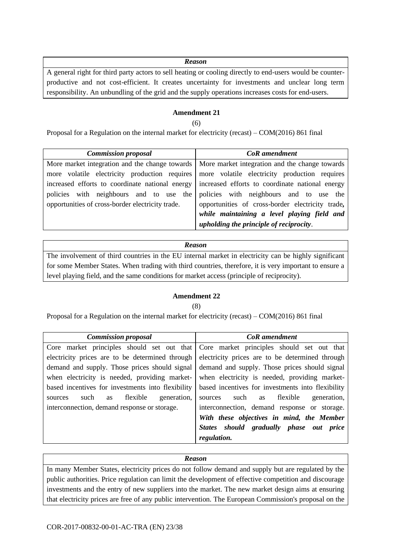A general right for third party actors to sell heating or cooling directly to end-users would be counterproductive and not cost-efficient. It creates uncertainty for investments and unclear long term responsibility. An unbundling of the grid and the supply operations increases costs for end-users.

# **Amendment 21**

(6)

Proposal for a Regulation on the internal market for electricity (recast) – COM(2016) 861 final

| <b>Commission proposal</b>                                                                        | CoR amendment                                                                                   |
|---------------------------------------------------------------------------------------------------|-------------------------------------------------------------------------------------------------|
|                                                                                                   | More market integration and the change towards   More market integration and the change towards |
| more volatile electricity production requires more volatile electricity production requires       |                                                                                                 |
| increased efforts to coordinate national energy   increased efforts to coordinate national energy |                                                                                                 |
| policies with neighbours and to use the                                                           | policies with neighbours and to use the                                                         |
| opportunities of cross-border electricity trade.                                                  | opportunities of cross-border electricity trade,                                                |
|                                                                                                   | while maintaining a level playing field and                                                     |
|                                                                                                   | upholding the principle of reciprocity.                                                         |

#### *Reason*

The involvement of third countries in the EU internal market in electricity can be highly significant for some Member States. When trading with third countries, therefore, it is very important to ensure a level playing field, and the same conditions for market access (principle of reciprocity).

#### **Amendment 22**

#### (8)

Proposal for a Regulation on the internal market for electricity (recast) – COM(2016) 861 final

| <b>Commission proposal</b>                        | CoR amendment                                                                         |
|---------------------------------------------------|---------------------------------------------------------------------------------------|
|                                                   | Core market principles should set out that Core market principles should set out that |
| electricity prices are to be determined through   | electricity prices are to be determined through                                       |
| demand and supply. Those prices should signal     | demand and supply. Those prices should signal                                         |
| when electricity is needed, providing market-     | when electricity is needed, providing market-                                         |
| based incentives for investments into flexibility | based incentives for investments into flexibility                                     |
| flexible<br>generation,<br>such<br>as<br>sources  | flexible<br>such as<br>generation,<br>sources                                         |
| interconnection, demand response or storage.      | interconnection, demand response or storage.                                          |
|                                                   | With these objectives in mind, the Member                                             |
|                                                   | States should gradually phase out price                                               |
|                                                   | regulation.                                                                           |

#### *Reason*

In many Member States, electricity prices do not follow demand and supply but are regulated by the public authorities. Price regulation can limit the development of effective competition and discourage investments and the entry of new suppliers into the market. The new market design aims at ensuring that electricity prices are free of any public intervention. The European Commission's proposal on the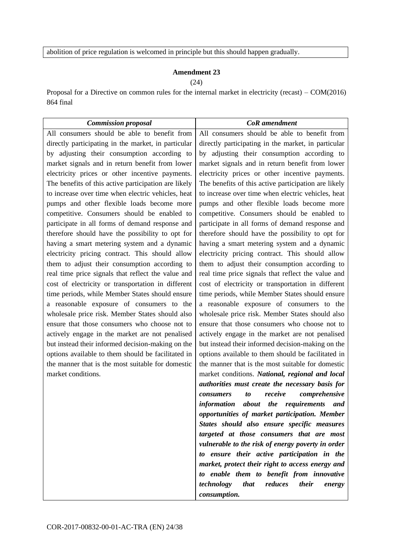abolition of price regulation is welcomed in principle but this should happen gradually.

# **Amendment 23**

(24)

Proposal for a Directive on common rules for the internal market in electricity (recast) – COM(2016) 864 final

| <b>Commission proposal</b>                                                                           | <b>CoR</b> amendment                                                                                 |
|------------------------------------------------------------------------------------------------------|------------------------------------------------------------------------------------------------------|
| All consumers should be able to benefit from                                                         | All consumers should be able to benefit from                                                         |
| directly participating in the market, in particular                                                  | directly participating in the market, in particular                                                  |
| by adjusting their consumption according to                                                          | by adjusting their consumption according to                                                          |
| market signals and in return benefit from lower                                                      | market signals and in return benefit from lower                                                      |
| electricity prices or other incentive payments.                                                      | electricity prices or other incentive payments.                                                      |
| The benefits of this active participation are likely                                                 | The benefits of this active participation are likely                                                 |
| to increase over time when electric vehicles, heat                                                   | to increase over time when electric vehicles, heat                                                   |
| pumps and other flexible loads become more                                                           | pumps and other flexible loads become more                                                           |
| competitive. Consumers should be enabled to                                                          | competitive. Consumers should be enabled to                                                          |
| participate in all forms of demand response and                                                      | participate in all forms of demand response and                                                      |
| therefore should have the possibility to opt for                                                     | therefore should have the possibility to opt for                                                     |
| having a smart metering system and a dynamic                                                         | having a smart metering system and a dynamic                                                         |
| electricity pricing contract. This should allow                                                      | electricity pricing contract. This should allow                                                      |
| them to adjust their consumption according to                                                        | them to adjust their consumption according to                                                        |
| real time price signals that reflect the value and                                                   | real time price signals that reflect the value and                                                   |
| cost of electricity or transportation in different                                                   | cost of electricity or transportation in different                                                   |
| time periods, while Member States should ensure                                                      | time periods, while Member States should ensure                                                      |
| a reasonable exposure of consumers to the                                                            | a reasonable exposure of consumers to the                                                            |
| wholesale price risk. Member States should also                                                      | wholesale price risk. Member States should also                                                      |
| ensure that those consumers who choose not to                                                        | ensure that those consumers who choose not to                                                        |
| actively engage in the market are not penalised<br>but instead their informed decision-making on the | actively engage in the market are not penalised<br>but instead their informed decision-making on the |
| options available to them should be facilitated in                                                   | options available to them should be facilitated in                                                   |
| the manner that is the most suitable for domestic                                                    | the manner that is the most suitable for domestic                                                    |
| market conditions.                                                                                   | market conditions. National, regional and local                                                      |
|                                                                                                      | authorities must create the necessary basis for                                                      |
|                                                                                                      | comprehensive<br>receive<br>consumers<br>to                                                          |
|                                                                                                      | information about the requirements<br>and                                                            |
|                                                                                                      | opportunities of market participation. Member                                                        |
|                                                                                                      | States should also ensure specific measures                                                          |
|                                                                                                      | targeted at those consumers that are most                                                            |
|                                                                                                      | vulnerable to the risk of energy poverty in order                                                    |
|                                                                                                      | to ensure their active participation in the                                                          |
|                                                                                                      | market, protect their right to access energy and                                                     |
|                                                                                                      | to enable them to benefit from innovative                                                            |
|                                                                                                      | technology<br>that<br>reduces<br>their<br>energy                                                     |
|                                                                                                      | consumption.                                                                                         |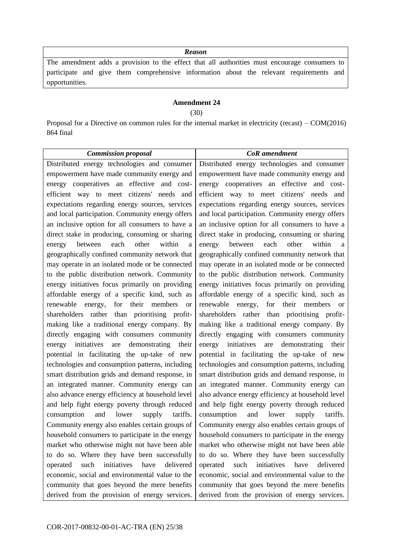The amendment adds a provision to the effect that all authorities must encourage consumers to participate and give them comprehensive information about the relevant requirements and opportunities.

# **Amendment 24**

(30)

Proposal for a Directive on common rules for the internal market in electricity (recast) – COM(2016) 864 final

| <b>Commission proposal</b>                                                                             | <b>CoR</b> amendment                                                                                |
|--------------------------------------------------------------------------------------------------------|-----------------------------------------------------------------------------------------------------|
| Distributed energy technologies and consumer                                                           | Distributed energy technologies and consumer                                                        |
| empowerment have made community energy and                                                             | empowerment have made community energy and                                                          |
| energy cooperatives an effective and cost-                                                             | energy cooperatives an effective and cost-                                                          |
| efficient way to meet citizens' needs and                                                              | efficient way to meet citizens' needs and                                                           |
| expectations regarding energy sources, services                                                        | expectations regarding energy sources, services                                                     |
| and local participation. Community energy offers                                                       | and local participation. Community energy offers                                                    |
| an inclusive option for all consumers to have a                                                        | an inclusive option for all consumers to have a                                                     |
| direct stake in producing, consuming or sharing                                                        | direct stake in producing, consuming or sharing                                                     |
| each<br>other<br>within<br>between<br>energy<br>a                                                      | each<br>other<br>within<br>between<br>energy<br>a                                                   |
| geographically confined community network that                                                         | geographically confined community network that                                                      |
| may operate in an isolated mode or be connected                                                        | may operate in an isolated mode or be connected                                                     |
| to the public distribution network. Community                                                          | to the public distribution network. Community                                                       |
| energy initiatives focus primarily on providing                                                        | energy initiatives focus primarily on providing                                                     |
| affordable energy of a specific kind, such as                                                          | affordable energy of a specific kind, such as                                                       |
| energy, for their members<br>renewable<br><sub>or</sub>                                                | renewable energy, for their members<br><b>or</b>                                                    |
| shareholders rather than prioritising profit-                                                          | shareholders rather than prioritising profit-                                                       |
| making like a traditional energy company. By                                                           | making like a traditional energy company. By                                                        |
| directly engaging with consumers community                                                             | directly engaging with consumers community                                                          |
| initiatives<br>demonstrating<br>are<br>energy<br>their<br>potential in facilitating the up-take of new | initiatives are<br>demonstrating<br>energy<br>their<br>potential in facilitating the up-take of new |
| technologies and consumption patterns, including                                                       | technologies and consumption patterns, including                                                    |
| smart distribution grids and demand response, in                                                       | smart distribution grids and demand response, in                                                    |
| an integrated manner. Community energy can                                                             | an integrated manner. Community energy can                                                          |
| also advance energy efficiency at household level                                                      | also advance energy efficiency at household level                                                   |
| and help fight energy poverty through reduced                                                          | and help fight energy poverty through reduced                                                       |
| and<br>lower<br>tariffs.<br>consumption<br>supply                                                      | lower<br>consumption<br>and<br>supply<br>tariffs.                                                   |
| Community energy also enables certain groups of                                                        | Community energy also enables certain groups of                                                     |
| household consumers to participate in the energy                                                       | household consumers to participate in the energy                                                    |
| market who otherwise might not have been able                                                          | market who otherwise might not have been able                                                       |
| to do so. Where they have been successfully                                                            | to do so. Where they have been successfully                                                         |
| have<br>delivered<br>such<br>initiatives<br>operated                                                   | initiatives<br>have<br>such<br>delivered<br>operated                                                |
| economic, social and environmental value to the                                                        | economic, social and environmental value to the                                                     |
| community that goes beyond the mere benefits                                                           | community that goes beyond the mere benefits                                                        |
| derived from the provision of energy services.                                                         | derived from the provision of energy services.                                                      |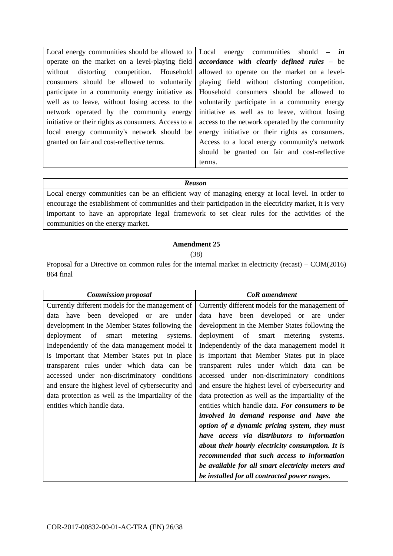Local energy communities should be allowed to operate on the market on a level-playing field without distorting competition. Household consumers should be allowed to voluntarily participate in a community energy initiative as well as to leave, without losing access to the network operated by the community energy initiative or their rights as consumers. Access to a local energy community's network should be granted on fair and cost-reflective terms. Local energy communities should *– in accordance with clearly defined rules –* be allowed to operate on the market on a levelplaying field without distorting competition. Household consumers should be allowed to voluntarily participate in a community energy initiative as well as to leave, without losing access to the network operated by the community energy initiative or their rights as consumers. Access to a local energy community's network should be granted on fair and cost-reflective terms.

#### *Reason*

Local energy communities can be an efficient way of managing energy at local level. In order to encourage the establishment of communities and their participation in the electricity market, it is very important to have an appropriate legal framework to set clear rules for the activities of the communities on the energy market.

#### **Amendment 25**

(38)

Proposal for a Directive on common rules for the internal market in electricity (recast) – COM(2016) 864 final

| <b>Commission proposal</b>                         | CoR amendment                                      |
|----------------------------------------------------|----------------------------------------------------|
| Currently different models for the management of   | Currently different models for the management of   |
| been developed or<br>data have<br>under<br>are     | data have been developed or are<br>under           |
| development in the Member States following the     | development in the Member States following the     |
| deployment of smart<br>metering<br>systems.        | deployment of<br>smart metering<br>systems.        |
| Independently of the data management model it      | Independently of the data management model it      |
| is important that Member States put in place       | is important that Member States put in place       |
| transparent rules under which data can be          | transparent rules under which data can be          |
| accessed under non-discriminatory conditions       | accessed under non-discriminatory conditions       |
| and ensure the highest level of cybersecurity and  | and ensure the highest level of cybersecurity and  |
| data protection as well as the impartiality of the | data protection as well as the impartiality of the |
| entities which handle data.                        | entities which handle data. For consumers to be    |
|                                                    | involved in demand response and have the           |
|                                                    | option of a dynamic pricing system, they must      |
|                                                    | have access via distributors to information        |
|                                                    | about their hourly electricity consumption. It is  |
|                                                    | recommended that such access to information        |
|                                                    | be available for all smart electricity meters and  |
|                                                    | be installed for all contracted power ranges.      |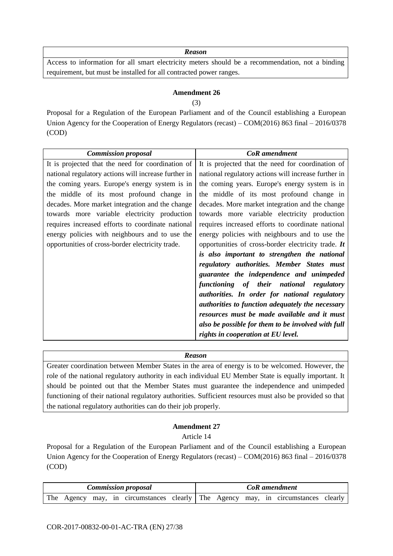Access to information for all smart electricity meters should be a recommendation, not a binding requirement, but must be installed for all contracted power ranges.

# **Amendment 26**

#### (3)

Proposal for a Regulation of the European Parliament and of the Council establishing a European Union Agency for the Cooperation of Energy Regulators (recast) – COM(2016) 863 final – 2016/0378 (COD)

| <b>Commission proposal</b>                           | <b>CoR</b> amendment                                 |
|------------------------------------------------------|------------------------------------------------------|
| It is projected that the need for coordination of    | It is projected that the need for coordination of    |
| national regulatory actions will increase further in | national regulatory actions will increase further in |
| the coming years. Europe's energy system is in       | the coming years. Europe's energy system is in       |
| the middle of its most profound change in            | the middle of its most profound change in            |
| decades. More market integration and the change      | decades. More market integration and the change      |
| towards more variable electricity production         | towards more variable electricity production         |
| requires increased efforts to coordinate national    | requires increased efforts to coordinate national    |
| energy policies with neighbours and to use the       | energy policies with neighbours and to use the       |
| opportunities of cross-border electricity trade.     | opportunities of cross-border electricity trade. It  |
|                                                      | is also important to strengthen the national         |
|                                                      | regulatory authorities. Member States must           |
|                                                      | guarantee the independence and unimpeded             |
|                                                      | functioning of their national regulatory             |
|                                                      | authorities. In order for national regulatory        |
|                                                      | authorities to function adequately the necessary     |
|                                                      | resources must be made available and it must         |
|                                                      | also be possible for them to be involved with full   |
|                                                      | rights in cooperation at EU level.                   |

#### *Reason*

Greater coordination between Member States in the area of energy is to be welcomed. However, the role of the national regulatory authority in each individual EU Member State is equally important. It should be pointed out that the Member States must guarantee the independence and unimpeded functioning of their national regulatory authorities. Sufficient resources must also be provided so that the national regulatory authorities can do their job properly.

# **Amendment 27**

Article 14

Proposal for a Regulation of the European Parliament and of the Council establishing a European Union Agency for the Cooperation of Energy Regulators (recast) – COM(2016) 863 final – 2016/0378 (COD)

| <b>Commission proposal</b> |  |  |  | <b>CoR</b> amendment                                                              |  |  |  |  |  |  |  |
|----------------------------|--|--|--|-----------------------------------------------------------------------------------|--|--|--|--|--|--|--|
|                            |  |  |  | The Agency may, in circumstances clearly The Agency may, in circumstances clearly |  |  |  |  |  |  |  |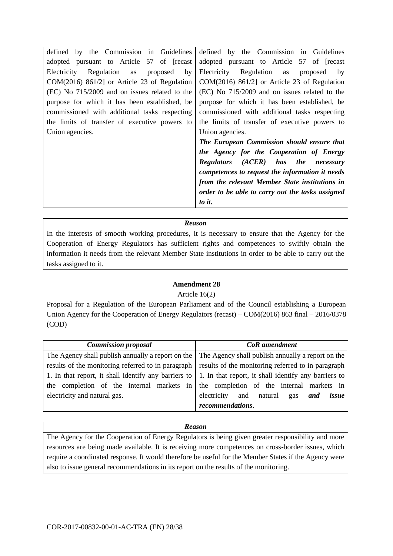In the interests of smooth working procedures, it is necessary to ensure that the Agency for the Cooperation of Energy Regulators has sufficient rights and competences to swiftly obtain the information it needs from the relevant Member State institutions in order to be able to carry out the tasks assigned to it.

# **Amendment 28**

# Article 16(2)

Proposal for a Regulation of the European Parliament and of the Council establishing a European Union Agency for the Cooperation of Energy Regulators (recast) – COM(2016) 863 final – 2016/0378 (COD)

| <b>Commission proposal</b>                                                                                        | <b>CoR</b> amendment                                                                                  |  |  |  |
|-------------------------------------------------------------------------------------------------------------------|-------------------------------------------------------------------------------------------------------|--|--|--|
|                                                                                                                   | The Agency shall publish annually a report on the The Agency shall publish annually a report on the   |  |  |  |
|                                                                                                                   | results of the monitoring referred to in paragraph results of the monitoring referred to in paragraph |  |  |  |
| 1. In that report, it shall identify any barriers to $\vert$ 1. In that report, it shall identify any barriers to |                                                                                                       |  |  |  |
|                                                                                                                   | the completion of the internal markets in the completion of the internal markets in                   |  |  |  |
| electricity and natural gas.                                                                                      | and natural<br>electricity<br>issue<br>and<br>gas                                                     |  |  |  |
|                                                                                                                   | recommendations.                                                                                      |  |  |  |

#### *Reason*

The Agency for the Cooperation of Energy Regulators is being given greater responsibility and more resources are being made available. It is receiving more competences on cross-border issues, which require a coordinated response. It would therefore be useful for the Member States if the Agency were also to issue general recommendations in its report on the results of the monitoring.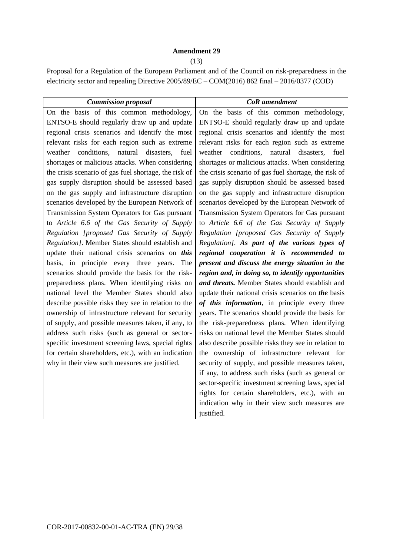## **Amendment 29**

(13)

Proposal for a Regulation of the European Parliament and of the Council on risk-preparedness in the electricity sector and repealing Directive 2005/89/EC – COM(2016) 862 final – 2016/0377 (COD)

| <b>Commission proposal</b>                            | <b>CoR</b> amendment                                  |
|-------------------------------------------------------|-------------------------------------------------------|
| On the basis of this common methodology,              | On the basis of this common methodology,              |
| ENTSO-E should regularly draw up and update           | ENTSO-E should regularly draw up and update           |
| regional crisis scenarios and identify the most       | regional crisis scenarios and identify the most       |
| relevant risks for each region such as extreme        | relevant risks for each region such as extreme        |
| conditions, natural disasters,<br>weather<br>fuel     | conditions,<br>weather<br>natural disasters,<br>fuel  |
| shortages or malicious attacks. When considering      | shortages or malicious attacks. When considering      |
| the crisis scenario of gas fuel shortage, the risk of | the crisis scenario of gas fuel shortage, the risk of |
| gas supply disruption should be assessed based        | gas supply disruption should be assessed based        |
| on the gas supply and infrastructure disruption       | on the gas supply and infrastructure disruption       |
| scenarios developed by the European Network of        | scenarios developed by the European Network of        |
| Transmission System Operators for Gas pursuant        | Transmission System Operators for Gas pursuant        |
| to Article 6.6 of the Gas Security of Supply          | to Article 6.6 of the Gas Security of Supply          |
| Regulation [proposed Gas Security of Supply           | Regulation [proposed Gas Security of Supply           |
| Regulation]. Member States should establish and       | Regulation]. As part of the various types of          |
| update their national crisis scenarios on this        | regional cooperation it is recommended to             |
| basis, in principle every three years.<br>The         | present and discuss the energy situation in the       |
| scenarios should provide the basis for the risk-      | region and, in doing so, to identify opportunities    |
| preparedness plans. When identifying risks on         | and threats. Member States should establish and       |
| national level the Member States should also          | update their national crisis scenarios on the basis   |
| describe possible risks they see in relation to the   | of this information, in principle every three         |
| ownership of infrastructure relevant for security     | years. The scenarios should provide the basis for     |
| of supply, and possible measures taken, if any, to    | the risk-preparedness plans. When identifying         |
| address such risks (such as general or sector-        | risks on national level the Member States should      |
| specific investment screening laws, special rights    | also describe possible risks they see in relation to  |
| for certain shareholders, etc.), with an indication   | the ownership of infrastructure relevant for          |
| why in their view such measures are justified.        | security of supply, and possible measures taken,      |
|                                                       | if any, to address such risks (such as general or     |
|                                                       | sector-specific investment screening laws, special    |
|                                                       | rights for certain shareholders, etc.), with an       |
|                                                       | indication why in their view such measures are        |
|                                                       | justified.                                            |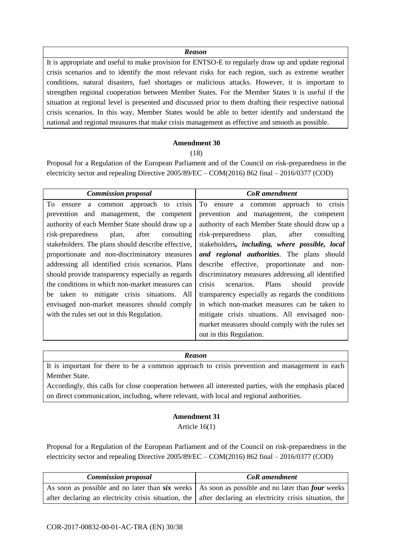It is appropriate and useful to make provision for ENTSO-E to regularly draw up and update regional crisis scenarios and to identify the most relevant risks for each region, such as extreme weather conditions, natural disasters, fuel shortages or malicious attacks. However, it is important to strengthen regional cooperation between Member States. For the Member States it is useful if the situation at regional level is presented and discussed prior to them drafting their respective national crisis scenarios. In this way, Member States would be able to better identify and understand the national and regional measures that make crisis management as effective and smooth as possible.

#### **Amendment 30**

(18)

Proposal for a Regulation of the European Parliament and of the Council on risk-preparedness in the electricity sector and repealing Directive 2005/89/EC – COM(2016) 862 final – 2016/0377 (COD)

| <b>Commission proposal</b>                         | <b>CoR</b> amendment                               |
|----------------------------------------------------|----------------------------------------------------|
| To ensure a common approach to crisis              | To ensure a common approach to crisis              |
| prevention and management, the competent           | prevention and management, the competent           |
| authority of each Member State should draw up a    | authority of each Member State should draw up a    |
| after<br>plan,<br>risk-preparedness<br>consulting  | risk-preparedness<br>plan,<br>after<br>consulting  |
| stakeholders. The plans should describe effective, | stakeholders, including, where possible, local     |
| proportionate and non-discriminatory measures      | and regional authorities. The plans should         |
| addressing all identified crisis scenarios. Plans  | describe effective, proportionate and<br>non-      |
| should provide transparency especially as regards  | discriminatory measures addressing all identified  |
| the conditions in which non-market measures can    | crisis<br>Plans<br>should<br>scenarios.<br>provide |
| be taken to mitigate crisis situations. All        | transparency especially as regards the conditions  |
| envisaged non-market measures should comply        | in which non-market measures can be taken to       |
| with the rules set out in this Regulation.         | mitigate crisis situations. All envisaged non-     |
|                                                    | market measures should comply with the rules set   |
|                                                    | out in this Regulation.                            |

#### *Reason*

It is important for there to be a common approach to crisis prevention and management in each Member State.

Accordingly, this calls for close cooperation between all interested parties, with the emphasis placed on direct communication, including, where relevant, with local and regional authorities.

# **Amendment 31**

Article 16(1)

Proposal for a Regulation of the European Parliament and of the Council on risk-preparedness in the electricity sector and repealing Directive 2005/89/EC – COM(2016) 862 final – 2016/0377 (COD)

| <b>Commission proposal</b>                                                                                        | <b>CoR</b> amendment |
|-------------------------------------------------------------------------------------------------------------------|----------------------|
| As soon as possible and no later than $six$ weeks $\vert$ As soon as possible and no later than <i>four</i> weeks |                      |
| after declaring an electricity crisis situation, the $\vert$ after declaring an electricity crisis situation, the |                      |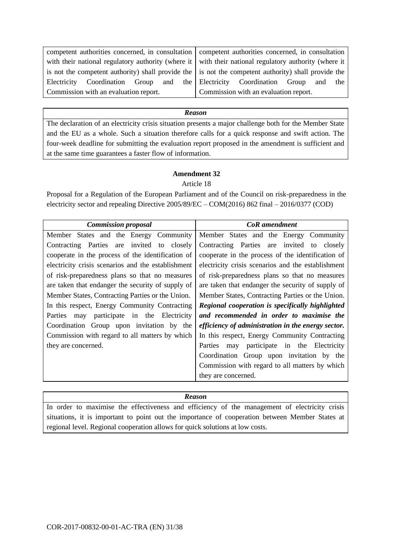competent authorities concerned, in consultation with their national regulatory authority (where it is not the competent authority) shall provide the Electricity Coordination Group and the Commission with an evaluation report.

competent authorities concerned, in consultation with their national regulatory authority (where it is not the competent authority) shall provide the Electricity Coordination Group and the Commission with an evaluation report.

#### *Reason*

The declaration of an electricity crisis situation presents a major challenge both for the Member State and the EU as a whole. Such a situation therefore calls for a quick response and swift action. The four-week deadline for submitting the evaluation report proposed in the amendment is sufficient and at the same time guarantees a faster flow of information.

# **Amendment 32**

#### Article 18

Proposal for a Regulation of the European Parliament and of the Council on risk-preparedness in the electricity sector and repealing Directive 2005/89/EC – COM(2016) 862 final – 2016/0377 (COD)

| <b>Commission proposal</b>                         | <b>CoR</b> amendment                               |  |  |
|----------------------------------------------------|----------------------------------------------------|--|--|
| Member States and the Energy Community             | Member States and the Energy Community             |  |  |
| Contracting Parties are invited to closely         | Contracting Parties are invited to closely         |  |  |
| cooperate in the process of the identification of  | cooperate in the process of the identification of  |  |  |
| electricity crisis scenarios and the establishment | electricity crisis scenarios and the establishment |  |  |
| of risk-preparedness plans so that no measures     | of risk-preparedness plans so that no measures     |  |  |
| are taken that endanger the security of supply of  | are taken that endanger the security of supply of  |  |  |
| Member States, Contracting Parties or the Union.   | Member States, Contracting Parties or the Union.   |  |  |
| In this respect, Energy Community Contracting      | Regional cooperation is specifically highlighted   |  |  |
| participate in the Electricity<br>Parties<br>may   | and recommended in order to maximise the           |  |  |
| Coordination Group upon invitation by the          | efficiency of administration in the energy sector. |  |  |
| Commission with regard to all matters by which     | In this respect, Energy Community Contracting      |  |  |
| they are concerned.                                | Parties may participate in the Electricity         |  |  |
|                                                    | Coordination Group upon invitation by the          |  |  |
|                                                    | Commission with regard to all matters by which     |  |  |
|                                                    | they are concerned.                                |  |  |

#### *Reason*

In order to maximise the effectiveness and efficiency of the management of electricity crisis situations, it is important to point out the importance of cooperation between Member States at regional level. Regional cooperation allows for quick solutions at low costs.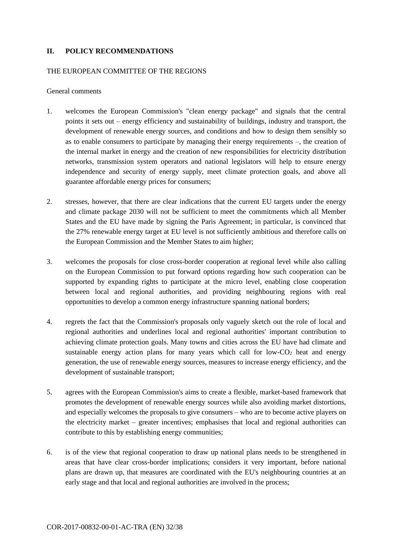## **II. POLICY RECOMMENDATIONS**

#### THE EUROPEAN COMMITTEE OF THE REGIONS

General comments

- 1. welcomes the European Commission's "clean energy package" and signals that the central points it sets out – energy efficiency and sustainability of buildings, industry and transport, the development of renewable energy sources, and conditions and how to design them sensibly so as to enable consumers to participate by managing their energy requirements –, the creation of the internal market in energy and the creation of new responsibilities for electricity distribution networks, transmission system operators and national legislators will help to ensure energy independence and security of energy supply, meet climate protection goals, and above all guarantee affordable energy prices for consumers;
- 2. stresses, however, that there are clear indications that the current EU targets under the energy and climate package 2030 will not be sufficient to meet the commitments which all Member States and the EU have made by signing the Paris Agreement; in particular, is convinced that the 27% renewable energy target at EU level is not sufficiently ambitious and therefore calls on the European Commission and the Member States to aim higher;
- 3. welcomes the proposals for close cross-border cooperation at regional level while also calling on the European Commission to put forward options regarding how such cooperation can be supported by expanding rights to participate at the micro level, enabling close cooperation between local and regional authorities, and providing neighbouring regions with real opportunities to develop a common energy infrastructure spanning national borders;
- 4. regrets the fact that the Commission's proposals only vaguely sketch out the role of local and regional authorities and underlines local and regional authorities' important contribution to achieving climate protection goals. Many towns and cities across the EU have had climate and sustainable energy action plans for many years which call for low- $CO<sub>2</sub>$  heat and energy generation, the use of renewable energy sources, measures to increase energy efficiency, and the development of sustainable transport;
- 5. agrees with the European Commission's aims to create a flexible, market-based framework that promotes the development of renewable energy sources while also avoiding market distortions, and especially welcomes the proposals to give consumers – who are to become active players on the electricity market – greater incentives; emphasises that local and regional authorities can contribute to this by establishing energy communities;
- 6. is of the view that regional cooperation to draw up national plans needs to be strengthened in areas that have clear cross-border implications; considers it very important, before national plans are drawn up, that measures are coordinated with the EU's neighbouring countries at an early stage and that local and regional authorities are involved in the process;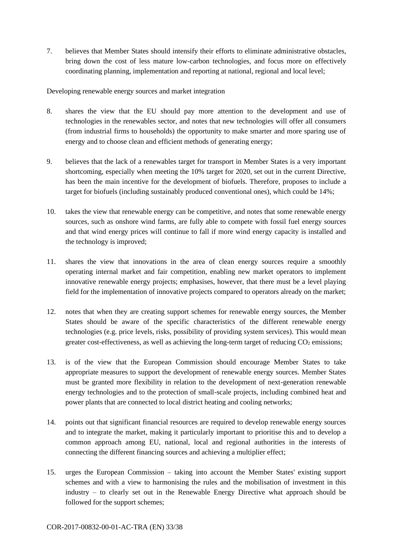7. believes that Member States should intensify their efforts to eliminate administrative obstacles, bring down the cost of less mature low-carbon technologies, and focus more on effectively coordinating planning, implementation and reporting at national, regional and local level;

Developing renewable energy sources and market integration

- 8. shares the view that the EU should pay more attention to the development and use of technologies in the renewables sector, and notes that new technologies will offer all consumers (from industrial firms to households) the opportunity to make smarter and more sparing use of energy and to choose clean and efficient methods of generating energy;
- 9. believes that the lack of a renewables target for transport in Member States is a very important shortcoming, especially when meeting the 10% target for 2020, set out in the current Directive, has been the main incentive for the development of biofuels. Therefore, proposes to include a target for biofuels (including sustainably produced conventional ones), which could be 14%;
- 10. takes the view that renewable energy can be competitive, and notes that some renewable energy sources, such as onshore wind farms, are fully able to compete with fossil fuel energy sources and that wind energy prices will continue to fall if more wind energy capacity is installed and the technology is improved;
- 11. shares the view that innovations in the area of clean energy sources require a smoothly operating internal market and fair competition, enabling new market operators to implement innovative renewable energy projects; emphasises, however, that there must be a level playing field for the implementation of innovative projects compared to operators already on the market;
- 12. notes that when they are creating support schemes for renewable energy sources, the Member States should be aware of the specific characteristics of the different renewable energy technologies (e.g. price levels, risks, possibility of providing system services). This would mean greater cost-effectiveness, as well as achieving the long-term target of reducing  $CO<sub>2</sub>$  emissions;
- 13. is of the view that the European Commission should encourage Member States to take appropriate measures to support the development of renewable energy sources. Member States must be granted more flexibility in relation to the development of next-generation renewable energy technologies and to the protection of small-scale projects, including combined heat and power plants that are connected to local district heating and cooling networks;
- 14. points out that significant financial resources are required to develop renewable energy sources and to integrate the market, making it particularly important to prioritise this and to develop a common approach among EU, national, local and regional authorities in the interests of connecting the different financing sources and achieving a multiplier effect;
- 15. urges the European Commission taking into account the Member States' existing support schemes and with a view to harmonising the rules and the mobilisation of investment in this industry – to clearly set out in the Renewable Energy Directive what approach should be followed for the support schemes;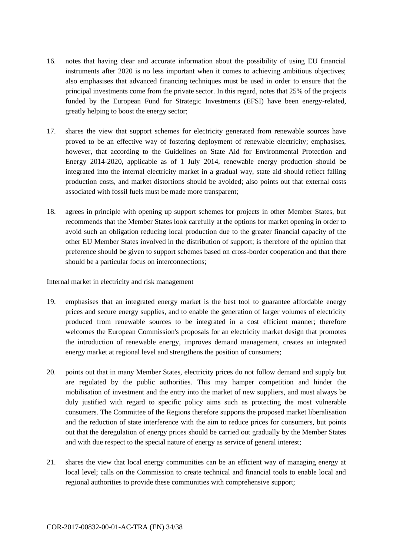- 16. notes that having clear and accurate information about the possibility of using EU financial instruments after 2020 is no less important when it comes to achieving ambitious objectives; also emphasises that advanced financing techniques must be used in order to ensure that the principal investments come from the private sector. In this regard, notes that 25% of the projects funded by the European Fund for Strategic Investments (EFSI) have been energy-related, greatly helping to boost the energy sector;
- 17. shares the view that support schemes for electricity generated from renewable sources have proved to be an effective way of fostering deployment of renewable electricity; emphasises, however, that according to the Guidelines on State Aid for Environmental Protection and Energy 2014-2020, applicable as of 1 July 2014, renewable energy production should be integrated into the internal electricity market in a gradual way, state aid should reflect falling production costs, and market distortions should be avoided; also points out that external costs associated with fossil fuels must be made more transparent;
- 18. agrees in principle with opening up support schemes for projects in other Member States, but recommends that the Member States look carefully at the options for market opening in order to avoid such an obligation reducing local production due to the greater financial capacity of the other EU Member States involved in the distribution of support; is therefore of the opinion that preference should be given to support schemes based on cross-border cooperation and that there should be a particular focus on interconnections;

Internal market in electricity and risk management

- 19. emphasises that an integrated energy market is the best tool to guarantee affordable energy prices and secure energy supplies, and to enable the generation of larger volumes of electricity produced from renewable sources to be integrated in a cost efficient manner; therefore welcomes the European Commission's proposals for an electricity market design that promotes the introduction of renewable energy, improves demand management, creates an integrated energy market at regional level and strengthens the position of consumers;
- 20. points out that in many Member States, electricity prices do not follow demand and supply but are regulated by the public authorities. This may hamper competition and hinder the mobilisation of investment and the entry into the market of new suppliers, and must always be duly justified with regard to specific policy aims such as protecting the most vulnerable consumers. The Committee of the Regions therefore supports the proposed market liberalisation and the reduction of state interference with the aim to reduce prices for consumers, but points out that the deregulation of energy prices should be carried out gradually by the Member States and with due respect to the special nature of energy as service of general interest;
- 21. shares the view that local energy communities can be an efficient way of managing energy at local level; calls on the Commission to create technical and financial tools to enable local and regional authorities to provide these communities with comprehensive support;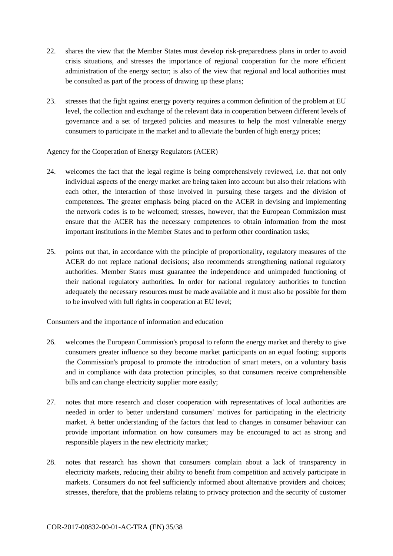- 22. shares the view that the Member States must develop risk-preparedness plans in order to avoid crisis situations, and stresses the importance of regional cooperation for the more efficient administration of the energy sector; is also of the view that regional and local authorities must be consulted as part of the process of drawing up these plans;
- 23. stresses that the fight against energy poverty requires a common definition of the problem at EU level, the collection and exchange of the relevant data in cooperation between different levels of governance and a set of targeted policies and measures to help the most vulnerable energy consumers to participate in the market and to alleviate the burden of high energy prices;

#### Agency for the Cooperation of Energy Regulators (ACER)

- 24. welcomes the fact that the legal regime is being comprehensively reviewed, i.e. that not only individual aspects of the energy market are being taken into account but also their relations with each other, the interaction of those involved in pursuing these targets and the division of competences. The greater emphasis being placed on the ACER in devising and implementing the network codes is to be welcomed; stresses, however, that the European Commission must ensure that the ACER has the necessary competences to obtain information from the most important institutions in the Member States and to perform other coordination tasks;
- 25. points out that, in accordance with the principle of proportionality, regulatory measures of the ACER do not replace national decisions; also recommends strengthening national regulatory authorities. Member States must guarantee the independence and unimpeded functioning of their national regulatory authorities. In order for national regulatory authorities to function adequately the necessary resources must be made available and it must also be possible for them to be involved with full rights in cooperation at EU level;

Consumers and the importance of information and education

- 26. welcomes the European Commission's proposal to reform the energy market and thereby to give consumers greater influence so they become market participants on an equal footing; supports the Commission's proposal to promote the introduction of smart meters, on a voluntary basis and in compliance with data protection principles, so that consumers receive comprehensible bills and can change electricity supplier more easily;
- 27. notes that more research and closer cooperation with representatives of local authorities are needed in order to better understand consumers' motives for participating in the electricity market. A better understanding of the factors that lead to changes in consumer behaviour can provide important information on how consumers may be encouraged to act as strong and responsible players in the new electricity market;
- 28. notes that research has shown that consumers complain about a lack of transparency in electricity markets, reducing their ability to benefit from competition and actively participate in markets. Consumers do not feel sufficiently informed about alternative providers and choices; stresses, therefore, that the problems relating to privacy protection and the security of customer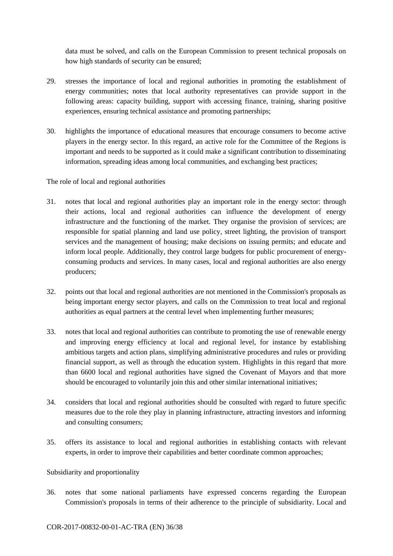data must be solved, and calls on the European Commission to present technical proposals on how high standards of security can be ensured;

- 29. stresses the importance of local and regional authorities in promoting the establishment of energy communities; notes that local authority representatives can provide support in the following areas: capacity building, support with accessing finance, training, sharing positive experiences, ensuring technical assistance and promoting partnerships;
- 30. highlights the importance of educational measures that encourage consumers to become active players in the energy sector. In this regard, an active role for the Committee of the Regions is important and needs to be supported as it could make a significant contribution to disseminating information, spreading ideas among local communities, and exchanging best practices;

The role of local and regional authorities

- 31. notes that local and regional authorities play an important role in the energy sector: through their actions, local and regional authorities can influence the development of energy infrastructure and the functioning of the market. They organise the provision of services; are responsible for spatial planning and land use policy, street lighting, the provision of transport services and the management of housing; make decisions on issuing permits; and educate and inform local people. Additionally, they control large budgets for public procurement of energyconsuming products and services. In many cases, local and regional authorities are also energy producers;
- 32. points out that local and regional authorities are not mentioned in the Commission's proposals as being important energy sector players, and calls on the Commission to treat local and regional authorities as equal partners at the central level when implementing further measures;
- 33. notes that local and regional authorities can contribute to promoting the use of renewable energy and improving energy efficiency at local and regional level, for instance by establishing ambitious targets and action plans, simplifying administrative procedures and rules or providing financial support, as well as through the education system. Highlights in this regard that more than 6600 local and regional authorities have signed the Covenant of Mayors and that more should be encouraged to voluntarily join this and other similar international initiatives;
- 34. considers that local and regional authorities should be consulted with regard to future specific measures due to the role they play in planning infrastructure, attracting investors and informing and consulting consumers;
- 35. offers its assistance to local and regional authorities in establishing contacts with relevant experts, in order to improve their capabilities and better coordinate common approaches;

# Subsidiarity and proportionality

36. notes that some national parliaments have expressed concerns regarding the European Commission's proposals in terms of their adherence to the principle of subsidiarity. Local and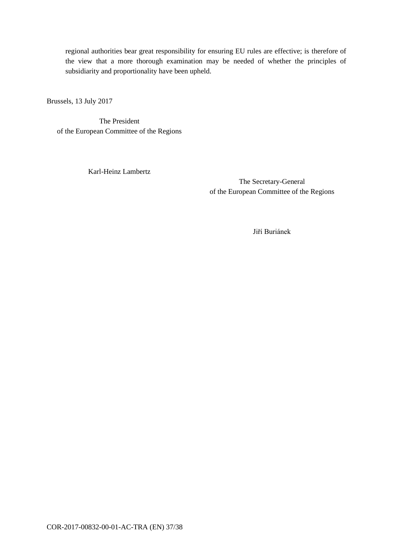regional authorities bear great responsibility for ensuring EU rules are effective; is therefore of the view that a more thorough examination may be needed of whether the principles of subsidiarity and proportionality have been upheld.

Brussels, 13 July 2017

The President of the European Committee of the Regions

Karl-Heinz Lambertz

The Secretary-General of the European Committee of the Regions

Jiří Buriánek